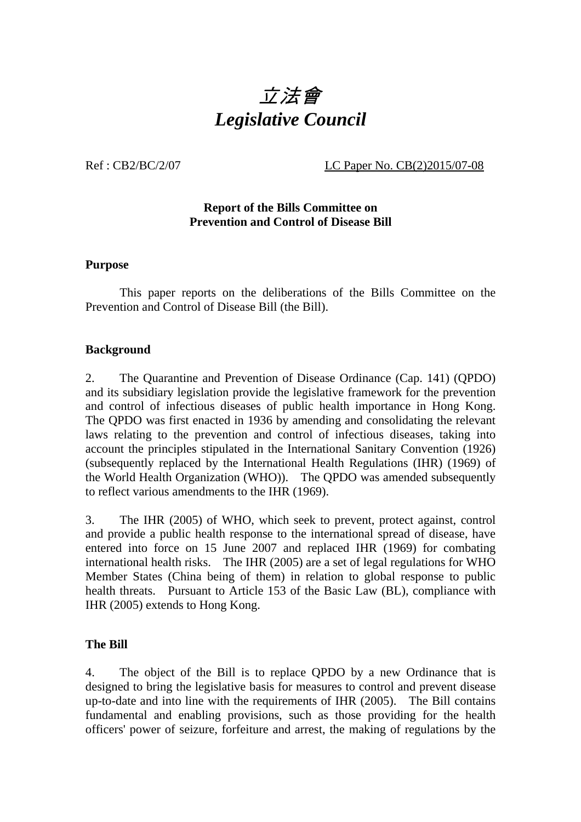

Ref : CB2/BC/2/07 <br>LC Paper No. CB(2)2015/07-08

## **Report of the Bills Committee on Prevention and Control of Disease Bill**

#### **Purpose**

This paper reports on the deliberations of the Bills Committee on the Prevention and Control of Disease Bill (the Bill).

#### **Background**

2. The Quarantine and Prevention of Disease Ordinance (Cap. 141) (QPDO) and its subsidiary legislation provide the legislative framework for the prevention and control of infectious diseases of public health importance in Hong Kong. The QPDO was first enacted in 1936 by amending and consolidating the relevant laws relating to the prevention and control of infectious diseases, taking into account the principles stipulated in the International Sanitary Convention (1926) (subsequently replaced by the International Health Regulations (IHR) (1969) of the World Health Organization (WHO)). The QPDO was amended subsequently to reflect various amendments to the IHR (1969).

3. The IHR (2005) of WHO, which seek to prevent, protect against, control and provide a public health response to the international spread of disease, have entered into force on 15 June 2007 and replaced IHR (1969) for combating international health risks. The IHR (2005) are a set of legal regulations for WHO Member States (China being of them) in relation to global response to public health threats. Pursuant to Article 153 of the Basic Law (BL), compliance with IHR (2005) extends to Hong Kong.

#### **The Bill**

4. The object of the Bill is to replace QPDO by a new Ordinance that is designed to bring the legislative basis for measures to control and prevent disease up-to-date and into line with the requirements of IHR (2005). The Bill contains fundamental and enabling provisions, such as those providing for the health officers' power of seizure, forfeiture and arrest, the making of regulations by the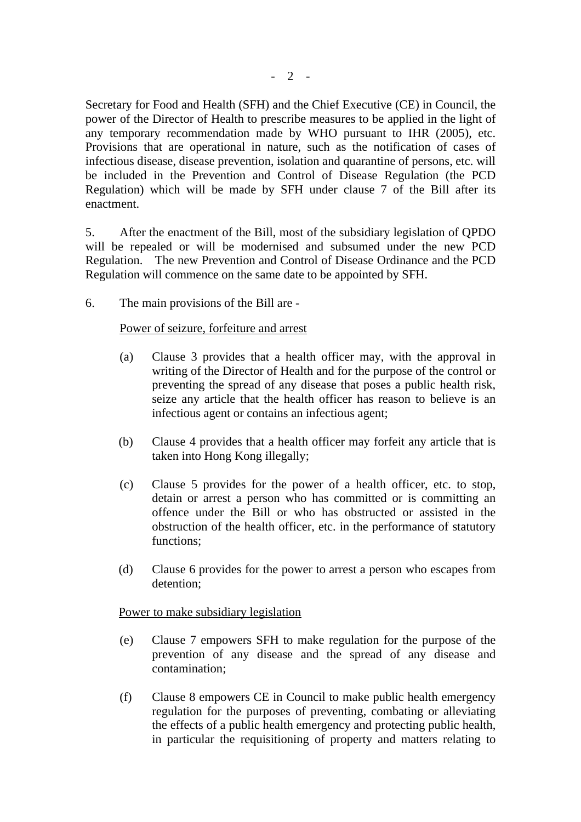Secretary for Food and Health (SFH) and the Chief Executive (CE) in Council, the power of the Director of Health to prescribe measures to be applied in the light of any temporary recommendation made by WHO pursuant to IHR (2005), etc. Provisions that are operational in nature, such as the notification of cases of infectious disease, disease prevention, isolation and quarantine of persons, etc. will be included in the Prevention and Control of Disease Regulation (the PCD Regulation) which will be made by SFH under clause 7 of the Bill after its enactment.

5. After the enactment of the Bill, most of the subsidiary legislation of QPDO will be repealed or will be modernised and subsumed under the new PCD Regulation. The new Prevention and Control of Disease Ordinance and the PCD Regulation will commence on the same date to be appointed by SFH.

6. The main provisions of the Bill are -

## Power of seizure, forfeiture and arrest

- (a) Clause 3 provides that a health officer may, with the approval in writing of the Director of Health and for the purpose of the control or preventing the spread of any disease that poses a public health risk, seize any article that the health officer has reason to believe is an infectious agent or contains an infectious agent;
- (b) Clause 4 provides that a health officer may forfeit any article that is taken into Hong Kong illegally;
- (c) Clause 5 provides for the power of a health officer, etc. to stop, detain or arrest a person who has committed or is committing an offence under the Bill or who has obstructed or assisted in the obstruction of the health officer, etc. in the performance of statutory functions;
- (d) Clause 6 provides for the power to arrest a person who escapes from detention;

#### Power to make subsidiary legislation

- (e) Clause 7 empowers SFH to make regulation for the purpose of the prevention of any disease and the spread of any disease and contamination;
- (f) Clause 8 empowers CE in Council to make public health emergency regulation for the purposes of preventing, combating or alleviating the effects of a public health emergency and protecting public health, in particular the requisitioning of property and matters relating to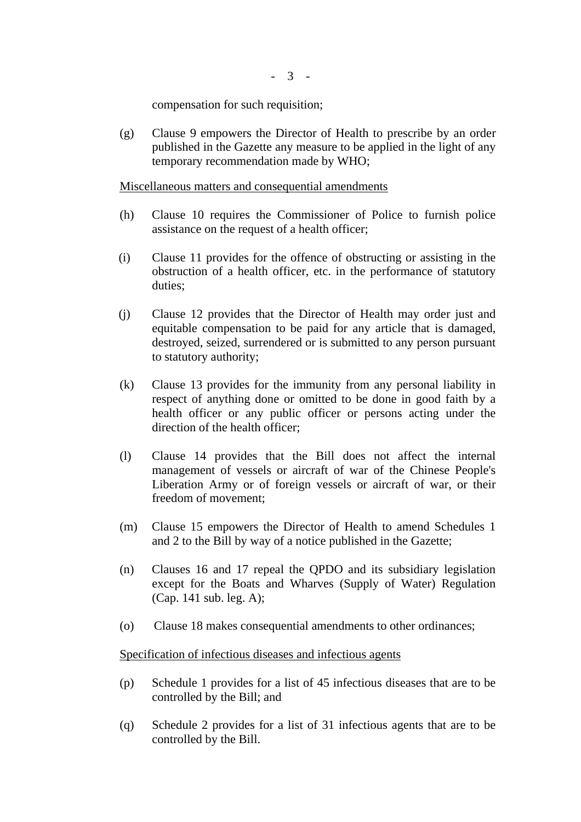compensation for such requisition;

(g) Clause 9 empowers the Director of Health to prescribe by an order published in the Gazette any measure to be applied in the light of any temporary recommendation made by WHO;

Miscellaneous matters and consequential amendments

- (h) Clause 10 requires the Commissioner of Police to furnish police assistance on the request of a health officer;
- (i) Clause 11 provides for the offence of obstructing or assisting in the obstruction of a health officer, etc. in the performance of statutory duties;
- (j) Clause 12 provides that the Director of Health may order just and equitable compensation to be paid for any article that is damaged, destroyed, seized, surrendered or is submitted to any person pursuant to statutory authority;
- (k) Clause 13 provides for the immunity from any personal liability in respect of anything done or omitted to be done in good faith by a health officer or any public officer or persons acting under the direction of the health officer;
- (l) Clause 14 provides that the Bill does not affect the internal management of vessels or aircraft of war of the Chinese People's Liberation Army or of foreign vessels or aircraft of war, or their freedom of movement;
- (m) Clause 15 empowers the Director of Health to amend Schedules 1 and 2 to the Bill by way of a notice published in the Gazette;
- (n) Clauses 16 and 17 repeal the QPDO and its subsidiary legislation except for the Boats and Wharves (Supply of Water) Regulation (Cap. 141 sub. leg. A);
- (o) Clause 18 makes consequential amendments to other ordinances;

#### Specification of infectious diseases and infectious agents

- (p) Schedule 1 provides for a list of 45 infectious diseases that are to be controlled by the Bill; and
- (q) Schedule 2 provides for a list of 31 infectious agents that are to be controlled by the Bill.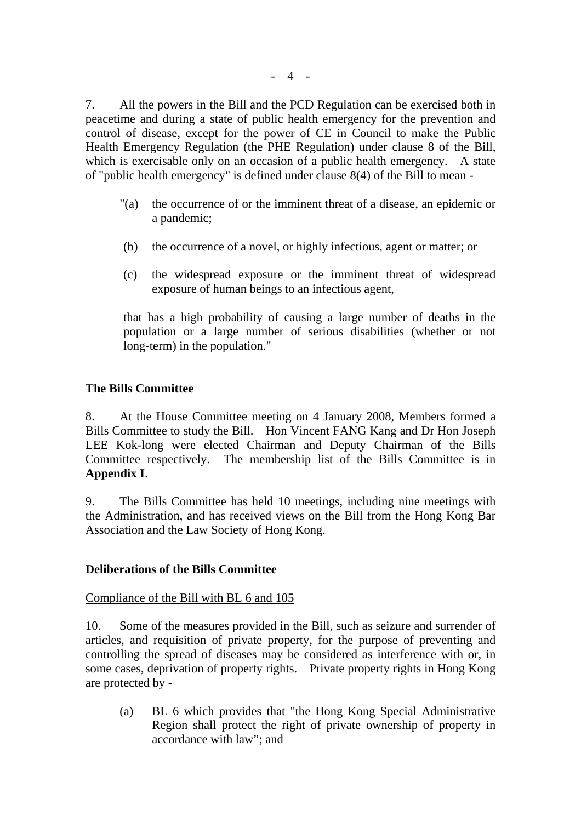7. All the powers in the Bill and the PCD Regulation can be exercised both in peacetime and during a state of public health emergency for the prevention and control of disease, except for the power of CE in Council to make the Public Health Emergency Regulation (the PHE Regulation) under clause 8 of the Bill, which is exercisable only on an occasion of a public health emergency. A state of "public health emergency" is defined under clause 8(4) of the Bill to mean -

- "(a) the occurrence of or the imminent threat of a disease, an epidemic or a pandemic;
- (b) the occurrence of a novel, or highly infectious, agent or matter; or
- (c) the widespread exposure or the imminent threat of widespread exposure of human beings to an infectious agent,

that has a high probability of causing a large number of deaths in the population or a large number of serious disabilities (whether or not long-term) in the population."

## **The Bills Committee**

8. At the House Committee meeting on 4 January 2008, Members formed a Bills Committee to study the Bill. Hon Vincent FANG Kang and Dr Hon Joseph LEE Kok-long were elected Chairman and Deputy Chairman of the Bills Committee respectively. The membership list of the Bills Committee is in **Appendix I**.

9. The Bills Committee has held 10 meetings, including nine meetings with the Administration, and has received views on the Bill from the Hong Kong Bar Association and the Law Society of Hong Kong.

#### **Deliberations of the Bills Committee**

#### Compliance of the Bill with BL 6 and 105

10. Some of the measures provided in the Bill, such as seizure and surrender of articles, and requisition of private property, for the purpose of preventing and controlling the spread of diseases may be considered as interference with or, in some cases, deprivation of property rights. Private property rights in Hong Kong are protected by -

(a) BL 6 which provides that "the Hong Kong Special Administrative Region shall protect the right of private ownership of property in accordance with law"; and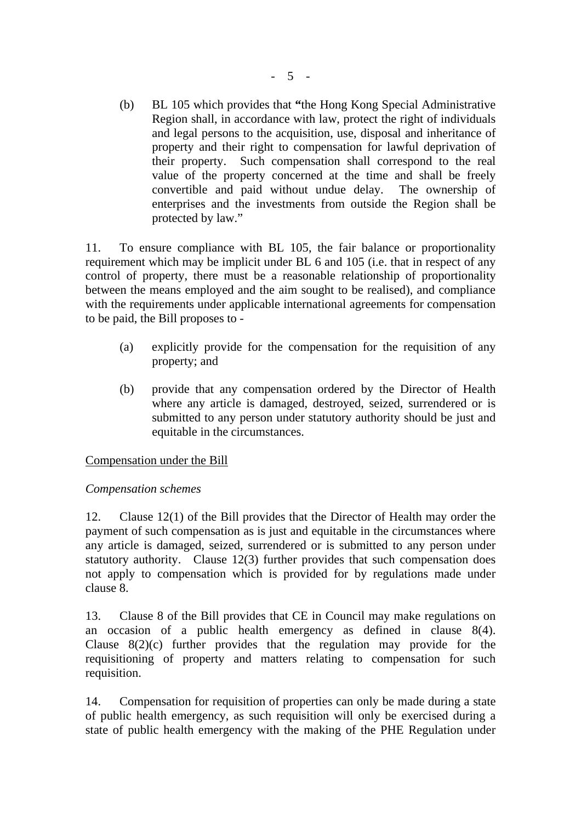(b) BL 105 which provides that **"**the Hong Kong Special Administrative Region shall, in accordance with law, protect the right of individuals and legal persons to the acquisition, use, disposal and inheritance of property and their right to compensation for lawful deprivation of their property. Such compensation shall correspond to the real value of the property concerned at the time and shall be freely convertible and paid without undue delay. The ownership of enterprises and the investments from outside the Region shall be protected by law."

11. To ensure compliance with BL 105, the fair balance or proportionality requirement which may be implicit under BL 6 and 105 (i.e. that in respect of any control of property, there must be a reasonable relationship of proportionality between the means employed and the aim sought to be realised), and compliance with the requirements under applicable international agreements for compensation to be paid, the Bill proposes to -

- (a) explicitly provide for the compensation for the requisition of any property; and
- (b) provide that any compensation ordered by the Director of Health where any article is damaged, destroyed, seized, surrendered or is submitted to any person under statutory authority should be just and equitable in the circumstances.

## Compensation under the Bill

## *Compensation schemes*

12. Clause 12(1) of the Bill provides that the Director of Health may order the payment of such compensation as is just and equitable in the circumstances where any article is damaged, seized, surrendered or is submitted to any person under statutory authority. Clause 12(3) further provides that such compensation does not apply to compensation which is provided for by regulations made under clause 8.

13. Clause 8 of the Bill provides that CE in Council may make regulations on an occasion of a public health emergency as defined in clause 8(4). Clause 8(2)(c) further provides that the regulation may provide for the requisitioning of property and matters relating to compensation for such requisition.

14. Compensation for requisition of properties can only be made during a state of public health emergency, as such requisition will only be exercised during a state of public health emergency with the making of the PHE Regulation under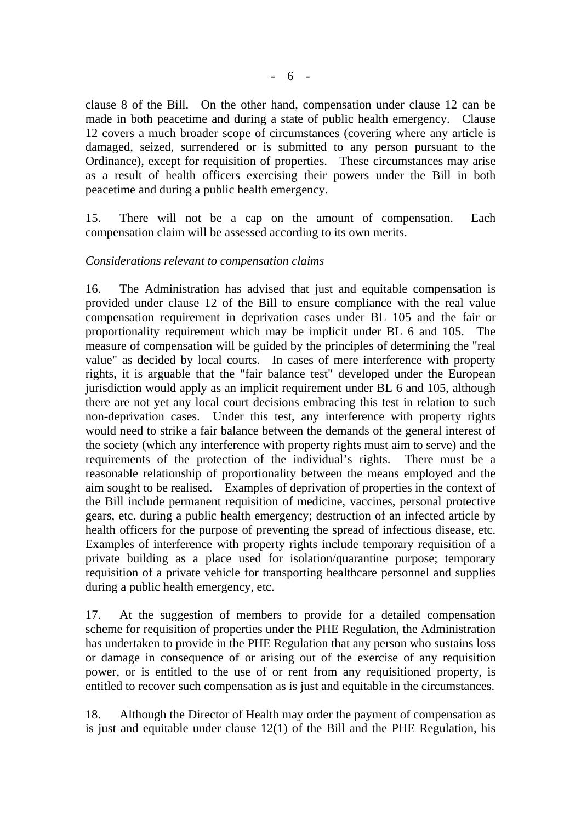clause 8 of the Bill. On the other hand, compensation under clause 12 can be made in both peacetime and during a state of public health emergency. Clause 12 covers a much broader scope of circumstances (covering where any article is damaged, seized, surrendered or is submitted to any person pursuant to the Ordinance), except for requisition of properties. These circumstances may arise as a result of health officers exercising their powers under the Bill in both peacetime and during a public health emergency.

15. There will not be a cap on the amount of compensation. Each compensation claim will be assessed according to its own merits.

#### *Considerations relevant to compensation claims*

16. The Administration has advised that just and equitable compensation is provided under clause 12 of the Bill to ensure compliance with the real value compensation requirement in deprivation cases under BL 105 and the fair or proportionality requirement which may be implicit under BL 6 and 105. The measure of compensation will be guided by the principles of determining the "real value" as decided by local courts. In cases of mere interference with property rights, it is arguable that the "fair balance test" developed under the European jurisdiction would apply as an implicit requirement under BL 6 and 105, although there are not yet any local court decisions embracing this test in relation to such non-deprivation cases. Under this test, any interference with property rights would need to strike a fair balance between the demands of the general interest of the society (which any interference with property rights must aim to serve) and the requirements of the protection of the individual's rights. There must be a reasonable relationship of proportionality between the means employed and the aim sought to be realised. Examples of deprivation of properties in the context of the Bill include permanent requisition of medicine, vaccines, personal protective gears, etc. during a public health emergency; destruction of an infected article by health officers for the purpose of preventing the spread of infectious disease, etc. Examples of interference with property rights include temporary requisition of a private building as a place used for isolation/quarantine purpose; temporary requisition of a private vehicle for transporting healthcare personnel and supplies during a public health emergency, etc.

17. At the suggestion of members to provide for a detailed compensation scheme for requisition of properties under the PHE Regulation, the Administration has undertaken to provide in the PHE Regulation that any person who sustains loss or damage in consequence of or arising out of the exercise of any requisition power, or is entitled to the use of or rent from any requisitioned property, is entitled to recover such compensation as is just and equitable in the circumstances.

18. Although the Director of Health may order the payment of compensation as is just and equitable under clause  $12(1)$  of the Bill and the PHE Regulation, his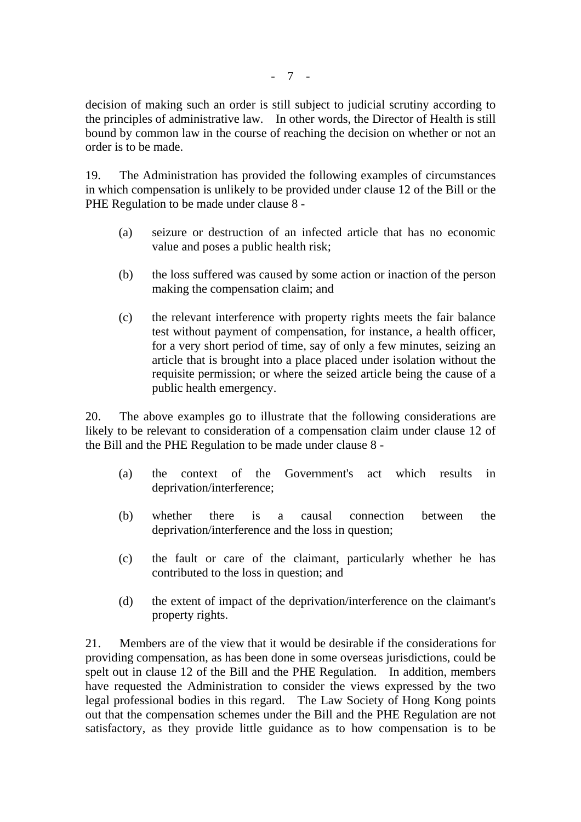decision of making such an order is still subject to judicial scrutiny according to the principles of administrative law. In other words, the Director of Health is still bound by common law in the course of reaching the decision on whether or not an order is to be made.

19. The Administration has provided the following examples of circumstances in which compensation is unlikely to be provided under clause 12 of the Bill or the PHE Regulation to be made under clause 8 -

- (a) seizure or destruction of an infected article that has no economic value and poses a public health risk;
- (b) the loss suffered was caused by some action or inaction of the person making the compensation claim; and
- (c) the relevant interference with property rights meets the fair balance test without payment of compensation, for instance, a health officer, for a very short period of time, say of only a few minutes, seizing an article that is brought into a place placed under isolation without the requisite permission; or where the seized article being the cause of a public health emergency.

20. The above examples go to illustrate that the following considerations are likely to be relevant to consideration of a compensation claim under clause 12 of the Bill and the PHE Regulation to be made under clause 8 -

- (a) the context of the Government's act which results in deprivation/interference;
- (b) whether there is a causal connection between the deprivation/interference and the loss in question;
- (c) the fault or care of the claimant, particularly whether he has contributed to the loss in question; and
- (d) the extent of impact of the deprivation/interference on the claimant's property rights.

21. Members are of the view that it would be desirable if the considerations for providing compensation, as has been done in some overseas jurisdictions, could be spelt out in clause 12 of the Bill and the PHE Regulation. In addition, members have requested the Administration to consider the views expressed by the two legal professional bodies in this regard. The Law Society of Hong Kong points out that the compensation schemes under the Bill and the PHE Regulation are not satisfactory, as they provide little guidance as to how compensation is to be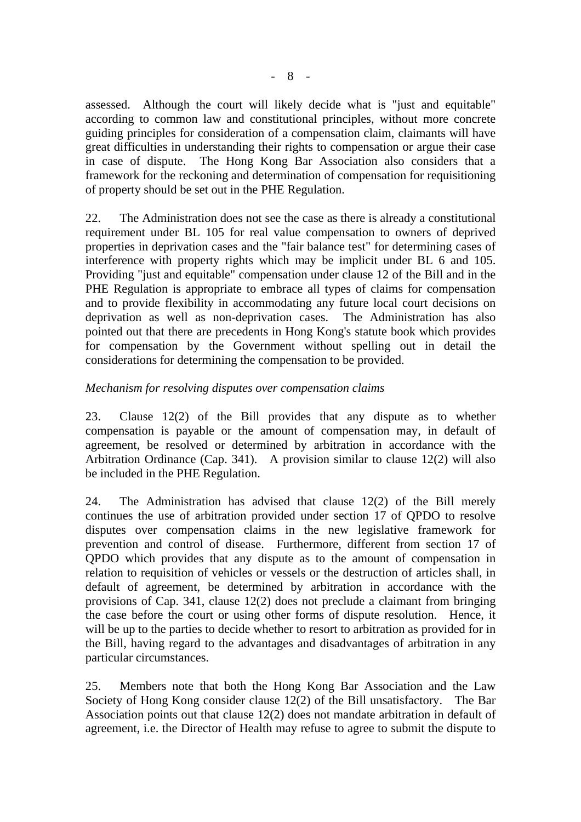assessed. Although the court will likely decide what is "just and equitable" according to common law and constitutional principles, without more concrete guiding principles for consideration of a compensation claim, claimants will have great difficulties in understanding their rights to compensation or argue their case in case of dispute. The Hong Kong Bar Association also considers that a framework for the reckoning and determination of compensation for requisitioning of property should be set out in the PHE Regulation.

22. The Administration does not see the case as there is already a constitutional requirement under BL 105 for real value compensation to owners of deprived properties in deprivation cases and the "fair balance test" for determining cases of interference with property rights which may be implicit under BL 6 and 105. Providing "just and equitable" compensation under clause 12 of the Bill and in the PHE Regulation is appropriate to embrace all types of claims for compensation and to provide flexibility in accommodating any future local court decisions on deprivation as well as non-deprivation cases. The Administration has also pointed out that there are precedents in Hong Kong's statute book which provides for compensation by the Government without spelling out in detail the considerations for determining the compensation to be provided.

## *Mechanism for resolving disputes over compensation claims*

23. Clause 12(2) of the Bill provides that any dispute as to whether compensation is payable or the amount of compensation may, in default of agreement, be resolved or determined by arbitration in accordance with the Arbitration Ordinance (Cap. 341). A provision similar to clause 12(2) will also be included in the PHE Regulation.

24. The Administration has advised that clause 12(2) of the Bill merely continues the use of arbitration provided under section 17 of QPDO to resolve disputes over compensation claims in the new legislative framework for prevention and control of disease. Furthermore, different from section 17 of QPDO which provides that any dispute as to the amount of compensation in relation to requisition of vehicles or vessels or the destruction of articles shall, in default of agreement, be determined by arbitration in accordance with the provisions of Cap. 341, clause 12(2) does not preclude a claimant from bringing the case before the court or using other forms of dispute resolution. Hence, it will be up to the parties to decide whether to resort to arbitration as provided for in the Bill, having regard to the advantages and disadvantages of arbitration in any particular circumstances.

25. Members note that both the Hong Kong Bar Association and the Law Society of Hong Kong consider clause 12(2) of the Bill unsatisfactory. The Bar Association points out that clause 12(2) does not mandate arbitration in default of agreement, i.e. the Director of Health may refuse to agree to submit the dispute to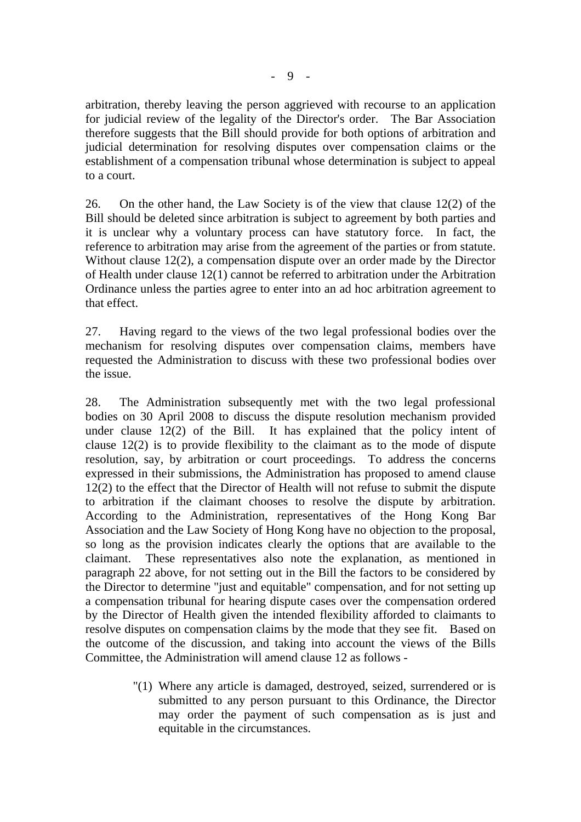arbitration, thereby leaving the person aggrieved with recourse to an application for judicial review of the legality of the Director's order. The Bar Association therefore suggests that the Bill should provide for both options of arbitration and judicial determination for resolving disputes over compensation claims or the establishment of a compensation tribunal whose determination is subject to appeal to a court.

26. On the other hand, the Law Society is of the view that clause 12(2) of the Bill should be deleted since arbitration is subject to agreement by both parties and it is unclear why a voluntary process can have statutory force. In fact, the reference to arbitration may arise from the agreement of the parties or from statute. Without clause 12(2), a compensation dispute over an order made by the Director of Health under clause 12(1) cannot be referred to arbitration under the Arbitration Ordinance unless the parties agree to enter into an ad hoc arbitration agreement to that effect.

27. Having regard to the views of the two legal professional bodies over the mechanism for resolving disputes over compensation claims, members have requested the Administration to discuss with these two professional bodies over the issue.

28. The Administration subsequently met with the two legal professional bodies on 30 April 2008 to discuss the dispute resolution mechanism provided under clause 12(2) of the Bill. It has explained that the policy intent of clause 12(2) is to provide flexibility to the claimant as to the mode of dispute resolution, say, by arbitration or court proceedings. To address the concerns expressed in their submissions, the Administration has proposed to amend clause 12(2) to the effect that the Director of Health will not refuse to submit the dispute to arbitration if the claimant chooses to resolve the dispute by arbitration. According to the Administration, representatives of the Hong Kong Bar Association and the Law Society of Hong Kong have no objection to the proposal, so long as the provision indicates clearly the options that are available to the claimant. These representatives also note the explanation, as mentioned in paragraph 22 above, for not setting out in the Bill the factors to be considered by the Director to determine "just and equitable" compensation, and for not setting up a compensation tribunal for hearing dispute cases over the compensation ordered by the Director of Health given the intended flexibility afforded to claimants to resolve disputes on compensation claims by the mode that they see fit. Based on the outcome of the discussion, and taking into account the views of the Bills Committee, the Administration will amend clause 12 as follows -

> "(1) Where any article is damaged, destroyed, seized, surrendered or is submitted to any person pursuant to this Ordinance, the Director may order the payment of such compensation as is just and equitable in the circumstances.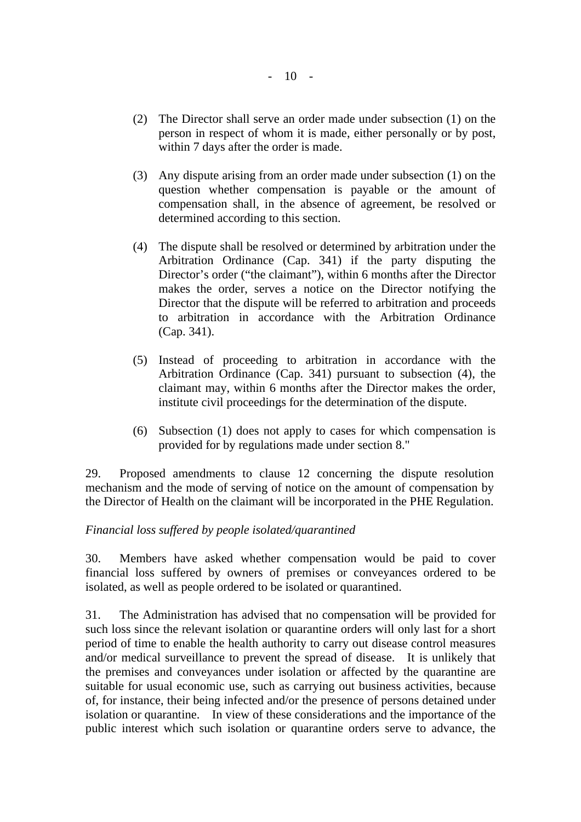- (2) The Director shall serve an order made under subsection (1) on the person in respect of whom it is made, either personally or by post, within 7 days after the order is made.
- (3) Any dispute arising from an order made under subsection (1) on the question whether compensation is payable or the amount of compensation shall, in the absence of agreement, be resolved or determined according to this section.
- (4) The dispute shall be resolved or determined by arbitration under the Arbitration Ordinance (Cap. 341) if the party disputing the Director's order ("the claimant"), within 6 months after the Director makes the order, serves a notice on the Director notifying the Director that the dispute will be referred to arbitration and proceeds to arbitration in accordance with the Arbitration Ordinance (Cap. 341).
- (5) Instead of proceeding to arbitration in accordance with the Arbitration Ordinance (Cap. 341) pursuant to subsection (4), the claimant may, within 6 months after the Director makes the order, institute civil proceedings for the determination of the dispute.
- (6) Subsection (1) does not apply to cases for which compensation is provided for by regulations made under section 8."

29. Proposed amendments to clause 12 concerning the dispute resolution mechanism and the mode of serving of notice on the amount of compensation by the Director of Health on the claimant will be incorporated in the PHE Regulation.

#### *Financial loss suffered by people isolated/quarantined*

30. Members have asked whether compensation would be paid to cover financial loss suffered by owners of premises or conveyances ordered to be isolated, as well as people ordered to be isolated or quarantined.

31. The Administration has advised that no compensation will be provided for such loss since the relevant isolation or quarantine orders will only last for a short period of time to enable the health authority to carry out disease control measures and/or medical surveillance to prevent the spread of disease. It is unlikely that the premises and conveyances under isolation or affected by the quarantine are suitable for usual economic use, such as carrying out business activities, because of, for instance, their being infected and/or the presence of persons detained under isolation or quarantine. In view of these considerations and the importance of the public interest which such isolation or quarantine orders serve to advance, the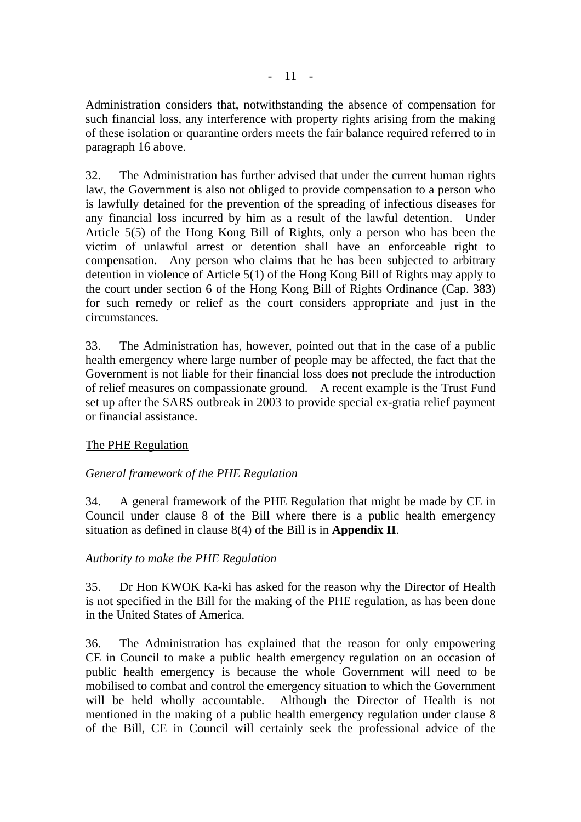Administration considers that, notwithstanding the absence of compensation for such financial loss, any interference with property rights arising from the making of these isolation or quarantine orders meets the fair balance required referred to in paragraph 16 above.

32. The Administration has further advised that under the current human rights law, the Government is also not obliged to provide compensation to a person who is lawfully detained for the prevention of the spreading of infectious diseases for any financial loss incurred by him as a result of the lawful detention. Under Article 5(5) of the Hong Kong Bill of Rights, only a person who has been the victim of unlawful arrest or detention shall have an enforceable right to compensation. Any person who claims that he has been subjected to arbitrary detention in violence of Article 5(1) of the Hong Kong Bill of Rights may apply to the court under section 6 of the Hong Kong Bill of Rights Ordinance (Cap. 383) for such remedy or relief as the court considers appropriate and just in the circumstances.

33. The Administration has, however, pointed out that in the case of a public health emergency where large number of people may be affected, the fact that the Government is not liable for their financial loss does not preclude the introduction of relief measures on compassionate ground. A recent example is the Trust Fund set up after the SARS outbreak in 2003 to provide special ex-gratia relief payment or financial assistance.

## The PHE Regulation

## *General framework of the PHE Regulation*

34. A general framework of the PHE Regulation that might be made by CE in Council under clause 8 of the Bill where there is a public health emergency situation as defined in clause 8(4) of the Bill is in **Appendix II**.

## *Authority to make the PHE Regulation*

35. Dr Hon KWOK Ka-ki has asked for the reason why the Director of Health is not specified in the Bill for the making of the PHE regulation, as has been done in the United States of America.

36. The Administration has explained that the reason for only empowering CE in Council to make a public health emergency regulation on an occasion of public health emergency is because the whole Government will need to be mobilised to combat and control the emergency situation to which the Government will be held wholly accountable. Although the Director of Health is not mentioned in the making of a public health emergency regulation under clause 8 of the Bill, CE in Council will certainly seek the professional advice of the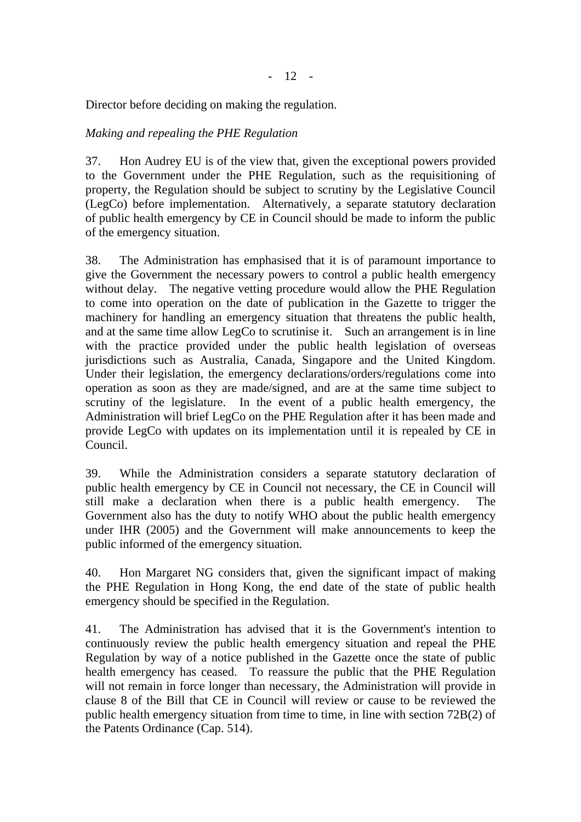Director before deciding on making the regulation.

## *Making and repealing the PHE Regulation*

37. Hon Audrey EU is of the view that, given the exceptional powers provided to the Government under the PHE Regulation, such as the requisitioning of property, the Regulation should be subject to scrutiny by the Legislative Council (LegCo) before implementation. Alternatively, a separate statutory declaration of public health emergency by CE in Council should be made to inform the public of the emergency situation.

38. The Administration has emphasised that it is of paramount importance to give the Government the necessary powers to control a public health emergency without delay. The negative vetting procedure would allow the PHE Regulation to come into operation on the date of publication in the Gazette to trigger the machinery for handling an emergency situation that threatens the public health, and at the same time allow LegCo to scrutinise it. Such an arrangement is in line with the practice provided under the public health legislation of overseas jurisdictions such as Australia, Canada, Singapore and the United Kingdom. Under their legislation, the emergency declarations/orders/regulations come into operation as soon as they are made/signed, and are at the same time subject to scrutiny of the legislature. In the event of a public health emergency, the Administration will brief LegCo on the PHE Regulation after it has been made and provide LegCo with updates on its implementation until it is repealed by CE in Council.

39. While the Administration considers a separate statutory declaration of public health emergency by CE in Council not necessary, the CE in Council will still make a declaration when there is a public health emergency. The Government also has the duty to notify WHO about the public health emergency under IHR (2005) and the Government will make announcements to keep the public informed of the emergency situation.

40. Hon Margaret NG considers that, given the significant impact of making the PHE Regulation in Hong Kong, the end date of the state of public health emergency should be specified in the Regulation.

41. The Administration has advised that it is the Government's intention to continuously review the public health emergency situation and repeal the PHE Regulation by way of a notice published in the Gazette once the state of public health emergency has ceased. To reassure the public that the PHE Regulation will not remain in force longer than necessary, the Administration will provide in clause 8 of the Bill that CE in Council will review or cause to be reviewed the public health emergency situation from time to time, in line with section 72B(2) of the Patents Ordinance (Cap. 514).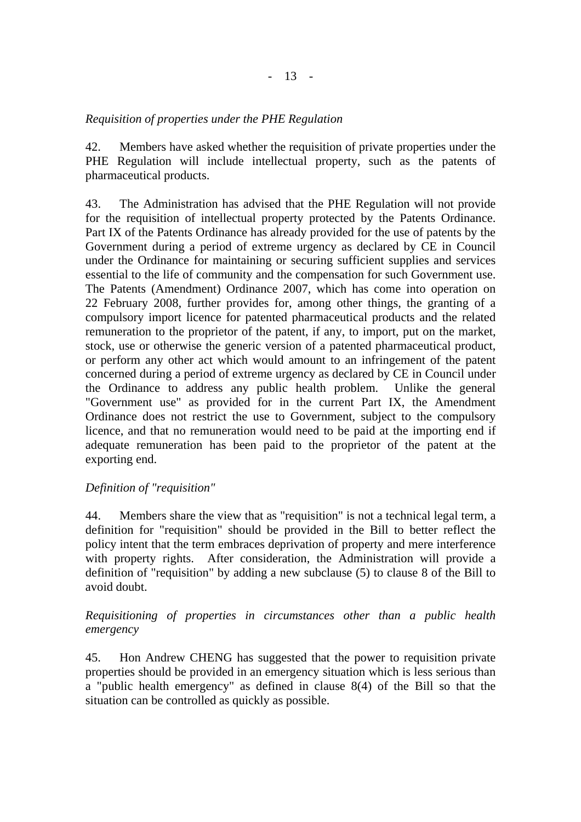## *Requisition of properties under the PHE Regulation*

42. Members have asked whether the requisition of private properties under the PHE Regulation will include intellectual property, such as the patents of pharmaceutical products.

43. The Administration has advised that the PHE Regulation will not provide for the requisition of intellectual property protected by the Patents Ordinance. Part IX of the Patents Ordinance has already provided for the use of patents by the Government during a period of extreme urgency as declared by CE in Council under the Ordinance for maintaining or securing sufficient supplies and services essential to the life of community and the compensation for such Government use. The Patents (Amendment) Ordinance 2007, which has come into operation on 22 February 2008, further provides for, among other things, the granting of a compulsory import licence for patented pharmaceutical products and the related remuneration to the proprietor of the patent, if any, to import, put on the market, stock, use or otherwise the generic version of a patented pharmaceutical product, or perform any other act which would amount to an infringement of the patent concerned during a period of extreme urgency as declared by CE in Council under the Ordinance to address any public health problem. Unlike the general "Government use" as provided for in the current Part IX, the Amendment Ordinance does not restrict the use to Government, subject to the compulsory licence, and that no remuneration would need to be paid at the importing end if adequate remuneration has been paid to the proprietor of the patent at the exporting end.

## *Definition of "requisition"*

44. Members share the view that as "requisition" is not a technical legal term, a definition for "requisition" should be provided in the Bill to better reflect the policy intent that the term embraces deprivation of property and mere interference with property rights. After consideration, the Administration will provide a definition of "requisition" by adding a new subclause (5) to clause 8 of the Bill to avoid doubt.

## *Requisitioning of properties in circumstances other than a public health emergency*

45. Hon Andrew CHENG has suggested that the power to requisition private properties should be provided in an emergency situation which is less serious than a "public health emergency" as defined in clause 8(4) of the Bill so that the situation can be controlled as quickly as possible.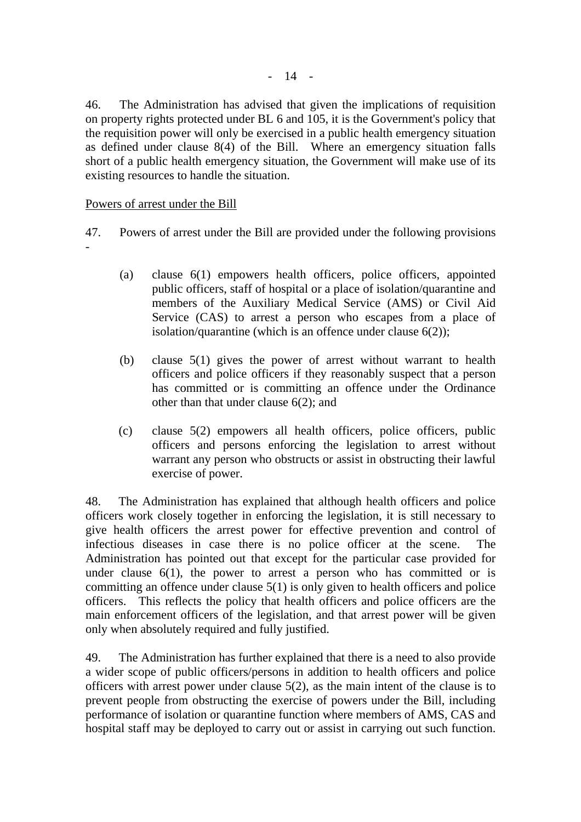46. The Administration has advised that given the implications of requisition on property rights protected under BL 6 and 105, it is the Government's policy that the requisition power will only be exercised in a public health emergency situation as defined under clause 8(4) of the Bill. Where an emergency situation falls short of a public health emergency situation, the Government will make use of its existing resources to handle the situation.

#### Powers of arrest under the Bill

- 47. Powers of arrest under the Bill are provided under the following provisions -
	- (a) clause 6(1) empowers health officers, police officers, appointed public officers, staff of hospital or a place of isolation/quarantine and members of the Auxiliary Medical Service (AMS) or Civil Aid Service (CAS) to arrest a person who escapes from a place of isolation/quarantine (which is an offence under clause 6(2));
	- (b) clause 5(1) gives the power of arrest without warrant to health officers and police officers if they reasonably suspect that a person has committed or is committing an offence under the Ordinance other than that under clause 6(2); and
	- (c) clause 5(2) empowers all health officers, police officers, public officers and persons enforcing the legislation to arrest without warrant any person who obstructs or assist in obstructing their lawful exercise of power.

48. The Administration has explained that although health officers and police officers work closely together in enforcing the legislation, it is still necessary to give health officers the arrest power for effective prevention and control of infectious diseases in case there is no police officer at the scene. The Administration has pointed out that except for the particular case provided for under clause  $6(1)$ , the power to arrest a person who has committed or is committing an offence under clause 5(1) is only given to health officers and police officers. This reflects the policy that health officers and police officers are the main enforcement officers of the legislation, and that arrest power will be given only when absolutely required and fully justified.

49. The Administration has further explained that there is a need to also provide a wider scope of public officers/persons in addition to health officers and police officers with arrest power under clause 5(2), as the main intent of the clause is to prevent people from obstructing the exercise of powers under the Bill, including performance of isolation or quarantine function where members of AMS, CAS and hospital staff may be deployed to carry out or assist in carrying out such function.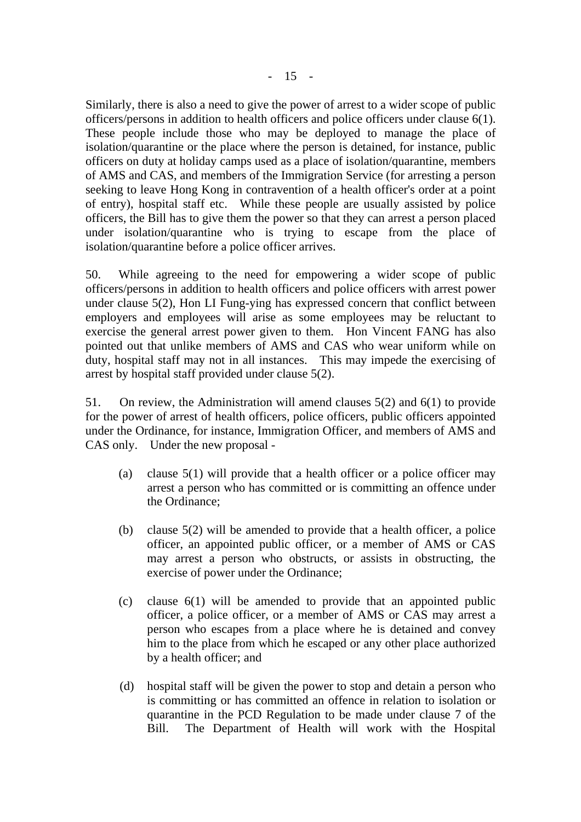Similarly, there is also a need to give the power of arrest to a wider scope of public officers/persons in addition to health officers and police officers under clause 6(1). These people include those who may be deployed to manage the place of isolation/quarantine or the place where the person is detained, for instance, public officers on duty at holiday camps used as a place of isolation/quarantine, members of AMS and CAS, and members of the Immigration Service (for arresting a person seeking to leave Hong Kong in contravention of a health officer's order at a point of entry), hospital staff etc. While these people are usually assisted by police officers, the Bill has to give them the power so that they can arrest a person placed under isolation/quarantine who is trying to escape from the place of isolation/quarantine before a police officer arrives.

50. While agreeing to the need for empowering a wider scope of public officers/persons in addition to health officers and police officers with arrest power under clause 5(2), Hon LI Fung-ying has expressed concern that conflict between employers and employees will arise as some employees may be reluctant to exercise the general arrest power given to them. Hon Vincent FANG has also pointed out that unlike members of AMS and CAS who wear uniform while on duty, hospital staff may not in all instances. This may impede the exercising of arrest by hospital staff provided under clause 5(2).

51. On review, the Administration will amend clauses 5(2) and 6(1) to provide for the power of arrest of health officers, police officers, public officers appointed under the Ordinance, for instance, Immigration Officer, and members of AMS and CAS only. Under the new proposal -

- (a) clause 5(1) will provide that a health officer or a police officer may arrest a person who has committed or is committing an offence under the Ordinance;
- (b) clause 5(2) will be amended to provide that a health officer, a police officer, an appointed public officer, or a member of AMS or CAS may arrest a person who obstructs, or assists in obstructing, the exercise of power under the Ordinance;
- (c) clause 6(1) will be amended to provide that an appointed public officer, a police officer, or a member of AMS or CAS may arrest a person who escapes from a place where he is detained and convey him to the place from which he escaped or any other place authorized by a health officer; and
- (d) hospital staff will be given the power to stop and detain a person who is committing or has committed an offence in relation to isolation or quarantine in the PCD Regulation to be made under clause 7 of the Bill. The Department of Health will work with the Hospital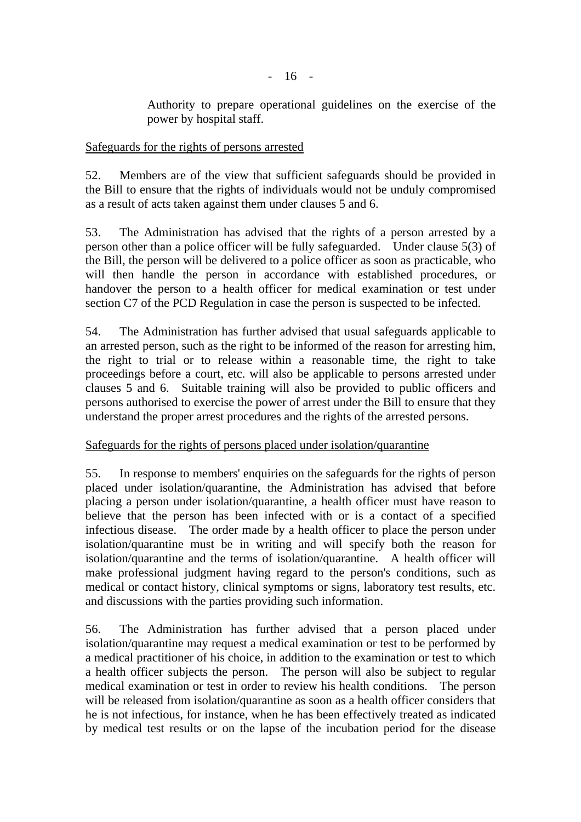Authority to prepare operational guidelines on the exercise of the power by hospital staff.

## Safeguards for the rights of persons arrested

52. Members are of the view that sufficient safeguards should be provided in the Bill to ensure that the rights of individuals would not be unduly compromised as a result of acts taken against them under clauses 5 and 6.

53. The Administration has advised that the rights of a person arrested by a person other than a police officer will be fully safeguarded. Under clause 5(3) of the Bill, the person will be delivered to a police officer as soon as practicable, who will then handle the person in accordance with established procedures, or handover the person to a health officer for medical examination or test under section C7 of the PCD Regulation in case the person is suspected to be infected.

54. The Administration has further advised that usual safeguards applicable to an arrested person, such as the right to be informed of the reason for arresting him, the right to trial or to release within a reasonable time, the right to take proceedings before a court, etc. will also be applicable to persons arrested under clauses 5 and 6. Suitable training will also be provided to public officers and persons authorised to exercise the power of arrest under the Bill to ensure that they understand the proper arrest procedures and the rights of the arrested persons.

## Safeguards for the rights of persons placed under isolation/quarantine

55. In response to members' enquiries on the safeguards for the rights of person placed under isolation/quarantine, the Administration has advised that before placing a person under isolation/quarantine, a health officer must have reason to believe that the person has been infected with or is a contact of a specified infectious disease. The order made by a health officer to place the person under isolation/quarantine must be in writing and will specify both the reason for isolation/quarantine and the terms of isolation/quarantine. A health officer will make professional judgment having regard to the person's conditions, such as medical or contact history, clinical symptoms or signs, laboratory test results, etc. and discussions with the parties providing such information.

56. The Administration has further advised that a person placed under isolation/quarantine may request a medical examination or test to be performed by a medical practitioner of his choice, in addition to the examination or test to which a health officer subjects the person. The person will also be subject to regular medical examination or test in order to review his health conditions. The person will be released from isolation/quarantine as soon as a health officer considers that he is not infectious, for instance, when he has been effectively treated as indicated by medical test results or on the lapse of the incubation period for the disease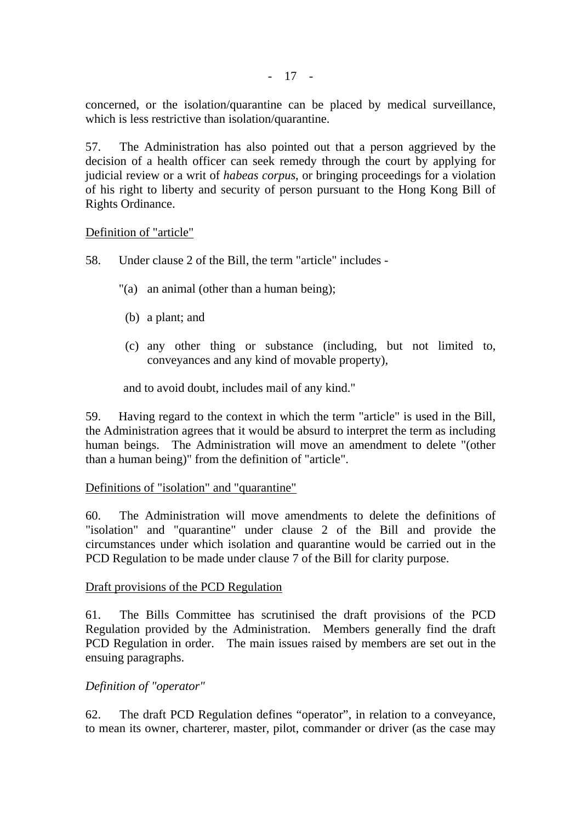concerned, or the isolation/quarantine can be placed by medical surveillance, which is less restrictive than isolation/quarantine.

57. The Administration has also pointed out that a person aggrieved by the decision of a health officer can seek remedy through the court by applying for judicial review or a writ of *habeas corpus*, or bringing proceedings for a violation of his right to liberty and security of person pursuant to the Hong Kong Bill of Rights Ordinance.

#### Definition of "article"

- 58. Under clause 2 of the Bill, the term "article" includes
	- "(a) an animal (other than a human being);
	- (b) a plant; and
	- (c) any other thing or substance (including, but not limited to, conveyances and any kind of movable property),

and to avoid doubt, includes mail of any kind."

59. Having regard to the context in which the term "article" is used in the Bill, the Administration agrees that it would be absurd to interpret the term as including human beings. The Administration will move an amendment to delete "(other than a human being)" from the definition of "article".

#### Definitions of "isolation" and "quarantine"

60. The Administration will move amendments to delete the definitions of "isolation" and "quarantine" under clause 2 of the Bill and provide the circumstances under which isolation and quarantine would be carried out in the PCD Regulation to be made under clause 7 of the Bill for clarity purpose.

#### Draft provisions of the PCD Regulation

61. The Bills Committee has scrutinised the draft provisions of the PCD Regulation provided by the Administration. Members generally find the draft PCD Regulation in order. The main issues raised by members are set out in the ensuing paragraphs.

#### *Definition of "operator"*

62. The draft PCD Regulation defines "operator", in relation to a conveyance, to mean its owner, charterer, master, pilot, commander or driver (as the case may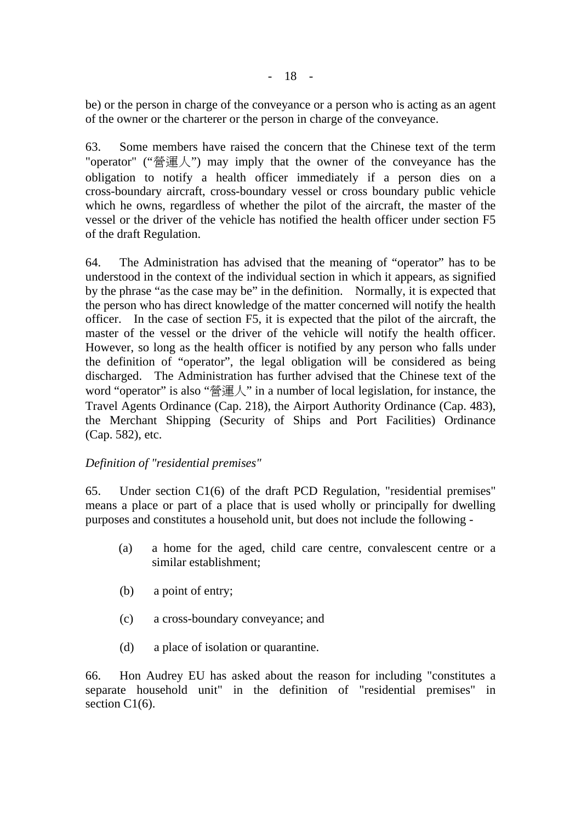be) or the person in charge of the conveyance or a person who is acting as an agent of the owner or the charterer or the person in charge of the conveyance.

63. Some members have raised the concern that the Chinese text of the term "operator" ("營運人") may imply that the owner of the conveyance has the obligation to notify a health officer immediately if a person dies on a cross-boundary aircraft, cross-boundary vessel or cross boundary public vehicle which he owns, regardless of whether the pilot of the aircraft, the master of the vessel or the driver of the vehicle has notified the health officer under section F5 of the draft Regulation.

64. The Administration has advised that the meaning of "operator" has to be understood in the context of the individual section in which it appears, as signified by the phrase "as the case may be" in the definition. Normally, it is expected that the person who has direct knowledge of the matter concerned will notify the health officer. In the case of section F5, it is expected that the pilot of the aircraft, the master of the vessel or the driver of the vehicle will notify the health officer. However, so long as the health officer is notified by any person who falls under the definition of "operator", the legal obligation will be considered as being discharged. The Administration has further advised that the Chinese text of the word "operator" is also "營運人" in a number of local legislation, for instance, the Travel Agents Ordinance (Cap. 218), the Airport Authority Ordinance (Cap. 483), the Merchant Shipping (Security of Ships and Port Facilities) Ordinance (Cap. 582), etc.

## *Definition of "residential premises"*

65. Under section C1(6) of the draft PCD Regulation, "residential premises" means a place or part of a place that is used wholly or principally for dwelling purposes and constitutes a household unit, but does not include the following -

- (a) a home for the aged, child care centre, convalescent centre or a similar establishment;
- (b) a point of entry;
- (c) a cross-boundary conveyance; and
- (d) a place of isolation or quarantine.

66. Hon Audrey EU has asked about the reason for including "constitutes a separate household unit" in the definition of "residential premises" in section C<sub>1</sub>(6).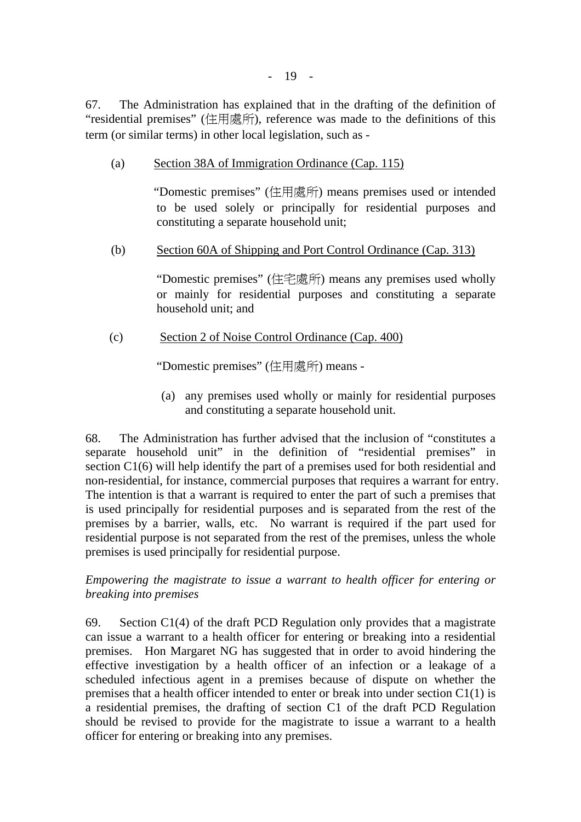67. The Administration has explained that in the drafting of the definition of "residential premises" (住用處所), reference was made to the definitions of this term (or similar terms) in other local legislation, such as -

(a) Section 38A of Immigration Ordinance (Cap. 115)

"Domestic premises" (住用處所) means premises used or intended to be used solely or principally for residential purposes and constituting a separate household unit;

(b) Section 60A of Shipping and Port Control Ordinance (Cap. 313)

"Domestic premises" (住宅處所) means any premises used wholly or mainly for residential purposes and constituting a separate household unit; and

(c) Section 2 of Noise Control Ordinance (Cap. 400)

"Domestic premises" (住用處所) means -

(a) any premises used wholly or mainly for residential purposes and constituting a separate household unit.

68. The Administration has further advised that the inclusion of "constitutes a separate household unit" in the definition of "residential premises" in section C1(6) will help identify the part of a premises used for both residential and non-residential, for instance, commercial purposes that requires a warrant for entry. The intention is that a warrant is required to enter the part of such a premises that is used principally for residential purposes and is separated from the rest of the premises by a barrier, walls, etc. No warrant is required if the part used for residential purpose is not separated from the rest of the premises, unless the whole premises is used principally for residential purpose.

*Empowering the magistrate to issue a warrant to health officer for entering or breaking into premises* 

69. Section C1(4) of the draft PCD Regulation only provides that a magistrate can issue a warrant to a health officer for entering or breaking into a residential premises. Hon Margaret NG has suggested that in order to avoid hindering the effective investigation by a health officer of an infection or a leakage of a scheduled infectious agent in a premises because of dispute on whether the premises that a health officer intended to enter or break into under section C1(1) is a residential premises, the drafting of section C1 of the draft PCD Regulation should be revised to provide for the magistrate to issue a warrant to a health officer for entering or breaking into any premises.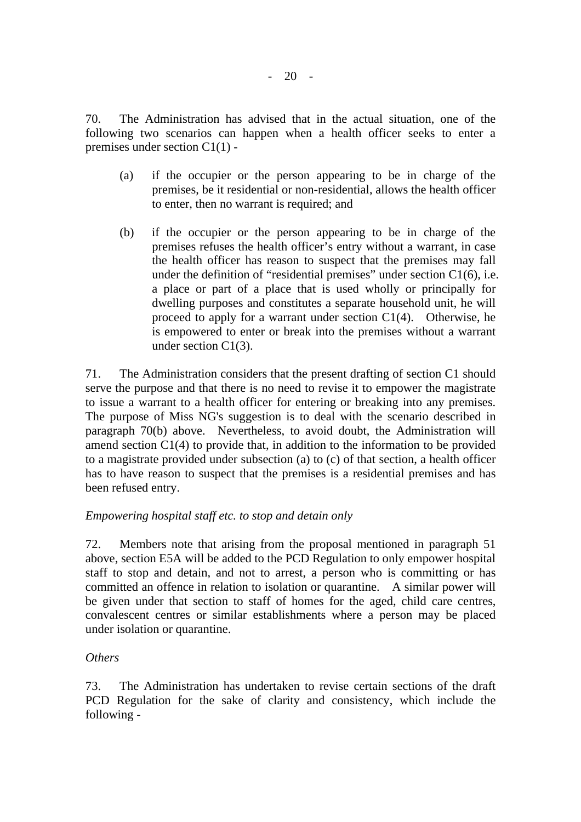70. The Administration has advised that in the actual situation, one of the following two scenarios can happen when a health officer seeks to enter a premises under section C1(1) -

- (a) if the occupier or the person appearing to be in charge of the premises, be it residential or non-residential, allows the health officer to enter, then no warrant is required; and
- (b) if the occupier or the person appearing to be in charge of the premises refuses the health officer's entry without a warrant, in case the health officer has reason to suspect that the premises may fall under the definition of "residential premises" under section C1(6), i.e. a place or part of a place that is used wholly or principally for dwelling purposes and constitutes a separate household unit, he will proceed to apply for a warrant under section C1(4). Otherwise, he is empowered to enter or break into the premises without a warrant under section C1(3).

71. The Administration considers that the present drafting of section C1 should serve the purpose and that there is no need to revise it to empower the magistrate to issue a warrant to a health officer for entering or breaking into any premises. The purpose of Miss NG's suggestion is to deal with the scenario described in paragraph 70(b) above. Nevertheless, to avoid doubt, the Administration will amend section C1(4) to provide that, in addition to the information to be provided to a magistrate provided under subsection (a) to (c) of that section, a health officer has to have reason to suspect that the premises is a residential premises and has been refused entry.

## *Empowering hospital staff etc. to stop and detain only*

72. Members note that arising from the proposal mentioned in paragraph 51 above, section E5A will be added to the PCD Regulation to only empower hospital staff to stop and detain, and not to arrest, a person who is committing or has committed an offence in relation to isolation or quarantine. A similar power will be given under that section to staff of homes for the aged, child care centres, convalescent centres or similar establishments where a person may be placed under isolation or quarantine.

## *Others*

73. The Administration has undertaken to revise certain sections of the draft PCD Regulation for the sake of clarity and consistency, which include the following -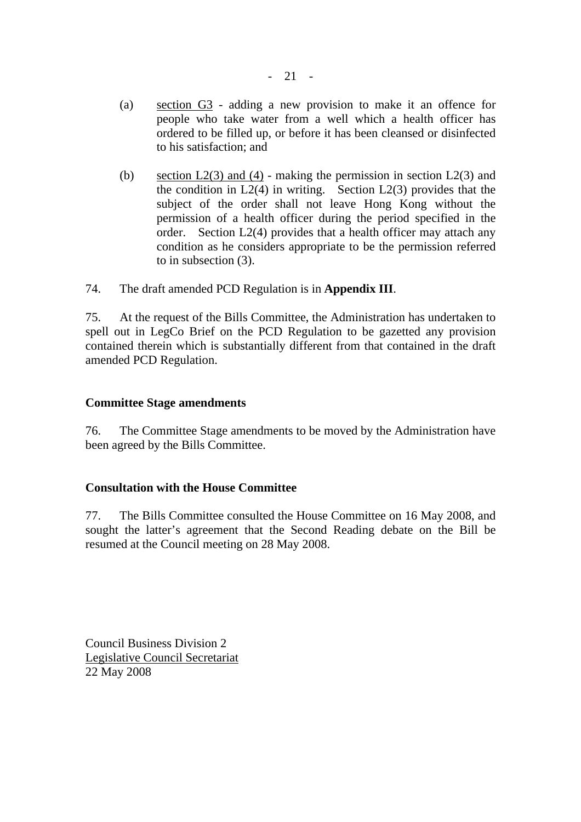- (a) section G3 adding a new provision to make it an offence for people who take water from a well which a health officer has ordered to be filled up, or before it has been cleansed or disinfected to his satisfaction; and
- (b) section  $L2(3)$  and (4) making the permission in section  $L2(3)$  and the condition in  $L_2(4)$  in writing. Section  $L_2(3)$  provides that the subject of the order shall not leave Hong Kong without the permission of a health officer during the period specified in the order. Section L2(4) provides that a health officer may attach any condition as he considers appropriate to be the permission referred to in subsection (3).

74. The draft amended PCD Regulation is in **Appendix III**.

75. At the request of the Bills Committee, the Administration has undertaken to spell out in LegCo Brief on the PCD Regulation to be gazetted any provision contained therein which is substantially different from that contained in the draft amended PCD Regulation.

#### **Committee Stage amendments**

76. The Committee Stage amendments to be moved by the Administration have been agreed by the Bills Committee.

#### **Consultation with the House Committee**

77. The Bills Committee consulted the House Committee on 16 May 2008, and sought the latter's agreement that the Second Reading debate on the Bill be resumed at the Council meeting on 28 May 2008.

Council Business Division 2 Legislative Council Secretariat 22 May 2008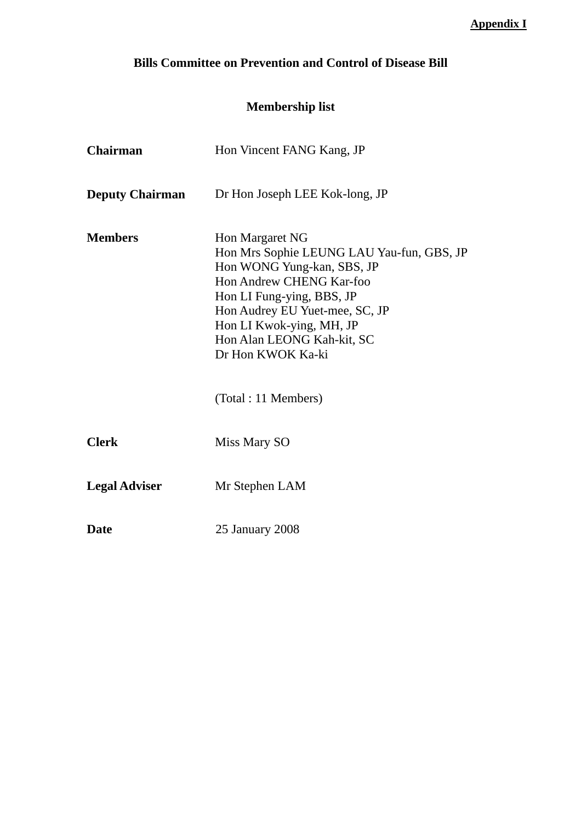# **Bills Committee on Prevention and Control of Disease Bill**

# **Membership list**

| <b>Chairman</b>        | Hon Vincent FANG Kang, JP                                                                                                                                                                                                                                                                          |
|------------------------|----------------------------------------------------------------------------------------------------------------------------------------------------------------------------------------------------------------------------------------------------------------------------------------------------|
| <b>Deputy Chairman</b> | Dr Hon Joseph LEE Kok-long, JP                                                                                                                                                                                                                                                                     |
| <b>Members</b>         | <b>Hon Margaret NG</b><br>Hon Mrs Sophie LEUNG LAU Yau-fun, GBS, JP<br>Hon WONG Yung-kan, SBS, JP<br>Hon Andrew CHENG Kar-foo<br>Hon LI Fung-ying, BBS, JP<br>Hon Audrey EU Yuet-mee, SC, JP<br>Hon LI Kwok-ying, MH, JP<br>Hon Alan LEONG Kah-kit, SC<br>Dr Hon KWOK Ka-ki<br>(Total: 11 Members) |
| <b>Clerk</b>           | Miss Mary SO                                                                                                                                                                                                                                                                                       |
| <b>Legal Adviser</b>   | Mr Stephen LAM                                                                                                                                                                                                                                                                                     |
| <b>Date</b>            | 25 January 2008                                                                                                                                                                                                                                                                                    |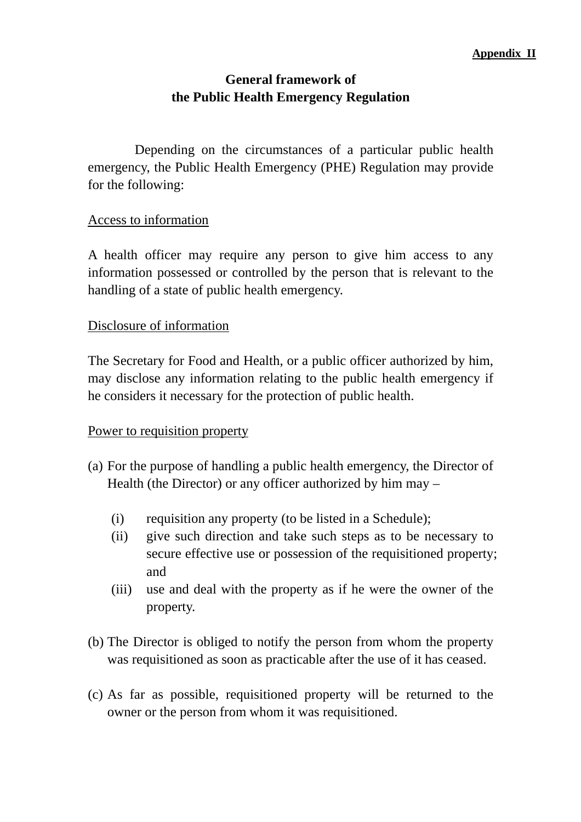# **General framework of the Public Health Emergency Regulation**

 Depending on the circumstances of a particular public health emergency, the Public Health Emergency (PHE) Regulation may provide for the following:

## Access to information

A health officer may require any person to give him access to any information possessed or controlled by the person that is relevant to the handling of a state of public health emergency.

## Disclosure of information

The Secretary for Food and Health, or a public officer authorized by him, may disclose any information relating to the public health emergency if he considers it necessary for the protection of public health.

## Power to requisition property

- (a) For the purpose of handling a public health emergency, the Director of Health (the Director) or any officer authorized by him may –
	- (i) requisition any property (to be listed in a Schedule);
	- (ii) give such direction and take such steps as to be necessary to secure effective use or possession of the requisitioned property; and
	- (iii) use and deal with the property as if he were the owner of the property.
- (b) The Director is obliged to notify the person from whom the property was requisitioned as soon as practicable after the use of it has ceased.
- (c) As far as possible, requisitioned property will be returned to the owner or the person from whom it was requisitioned.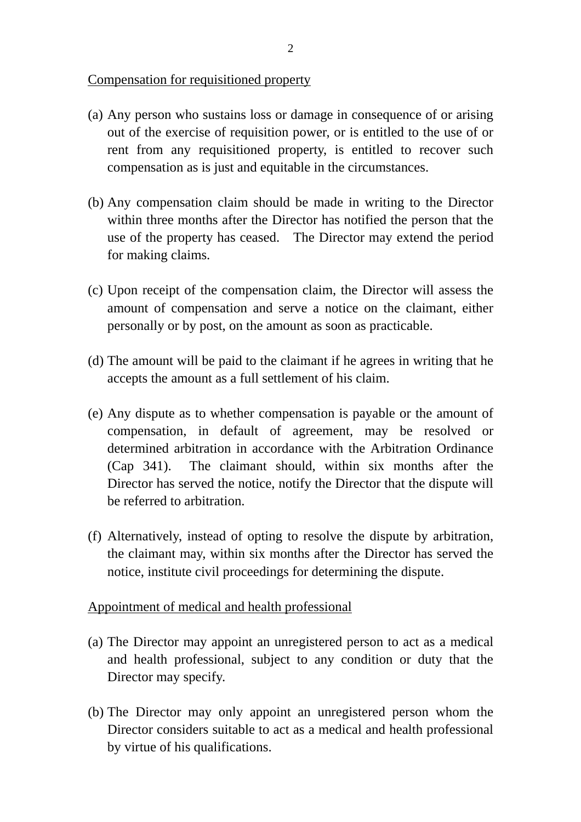## Compensation for requisitioned property

- (a) Any person who sustains loss or damage in consequence of or arising out of the exercise of requisition power, or is entitled to the use of or rent from any requisitioned property, is entitled to recover such compensation as is just and equitable in the circumstances.
- (b) Any compensation claim should be made in writing to the Director within three months after the Director has notified the person that the use of the property has ceased. The Director may extend the period for making claims.
- (c) Upon receipt of the compensation claim, the Director will assess the amount of compensation and serve a notice on the claimant, either personally or by post, on the amount as soon as practicable.
- (d) The amount will be paid to the claimant if he agrees in writing that he accepts the amount as a full settlement of his claim.
- (e) Any dispute as to whether compensation is payable or the amount of compensation, in default of agreement, may be resolved or determined arbitration in accordance with the Arbitration Ordinance (Cap 341). The claimant should, within six months after the Director has served the notice, notify the Director that the dispute will be referred to arbitration.
- (f) Alternatively, instead of opting to resolve the dispute by arbitration, the claimant may, within six months after the Director has served the notice, institute civil proceedings for determining the dispute.

## Appointment of medical and health professional

- (a) The Director may appoint an unregistered person to act as a medical and health professional, subject to any condition or duty that the Director may specify.
- (b) The Director may only appoint an unregistered person whom the Director considers suitable to act as a medical and health professional by virtue of his qualifications.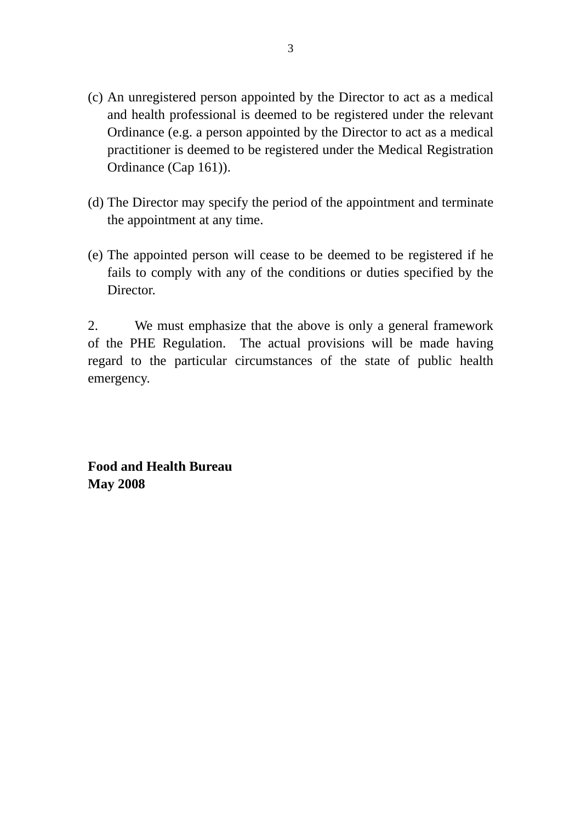- (c) An unregistered person appointed by the Director to act as a medical and health professional is deemed to be registered under the relevant Ordinance (e.g. a person appointed by the Director to act as a medical practitioner is deemed to be registered under the Medical Registration Ordinance (Cap 161)).
- (d) The Director may specify the period of the appointment and terminate the appointment at any time.
- (e) The appointed person will cease to be deemed to be registered if he fails to comply with any of the conditions or duties specified by the Director.

2. We must emphasize that the above is only a general framework of the PHE Regulation. The actual provisions will be made having regard to the particular circumstances of the state of public health emergency.

**Food and Health Bureau May 2008**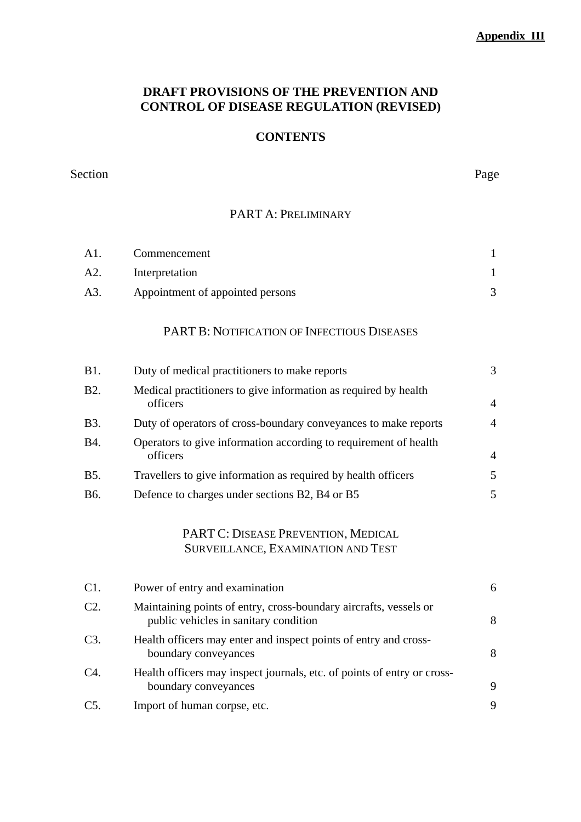#### **Appendix III**

## **DRAFT PROVISIONS OF THE PREVENTION AND CONTROL OF DISEASE REGULATION (REVISED)**

# **CONTENTS**

#### Section Page

## PART A: PRELIMINARY

| A1. | Commencement                     |  |
|-----|----------------------------------|--|
| A2. | Interpretation                   |  |
| A3. | Appointment of appointed persons |  |

## PART B: NOTIFICATION OF INFECTIOUS DISEASES

| <b>B1.</b>  | Duty of medical practitioners to make reports                                | $\mathcal{F}$ |
|-------------|------------------------------------------------------------------------------|---------------|
| <b>B2.</b>  | Medical practitioners to give information as required by health<br>officers  | 4             |
| <b>B</b> 3. | Duty of operators of cross-boundary conveyances to make reports              | 4             |
| <b>B4.</b>  | Operators to give information according to requirement of health<br>officers | 4             |
| <b>B5.</b>  | Travellers to give information as required by health officers                | 5.            |
| <b>B6.</b>  | Defence to charges under sections B2, B4 or B5                               |               |

## PART C: DISEASE PREVENTION, MEDICAL SURVEILLANCE, EXAMINATION AND TEST

| C1.    | Power of entry and examination                                                                             | 6 |
|--------|------------------------------------------------------------------------------------------------------------|---|
| C2.    | Maintaining points of entry, cross-boundary aircrafts, vessels or<br>public vehicles in sanitary condition | 8 |
| $C3$ . | Health officers may enter and inspect points of entry and cross-<br>boundary conveyances                   | 8 |
| C4.    | Health officers may inspect journals, etc. of points of entry or cross-<br>boundary conveyances            | 9 |
| $C5$ . | Import of human corpse, etc.                                                                               | 9 |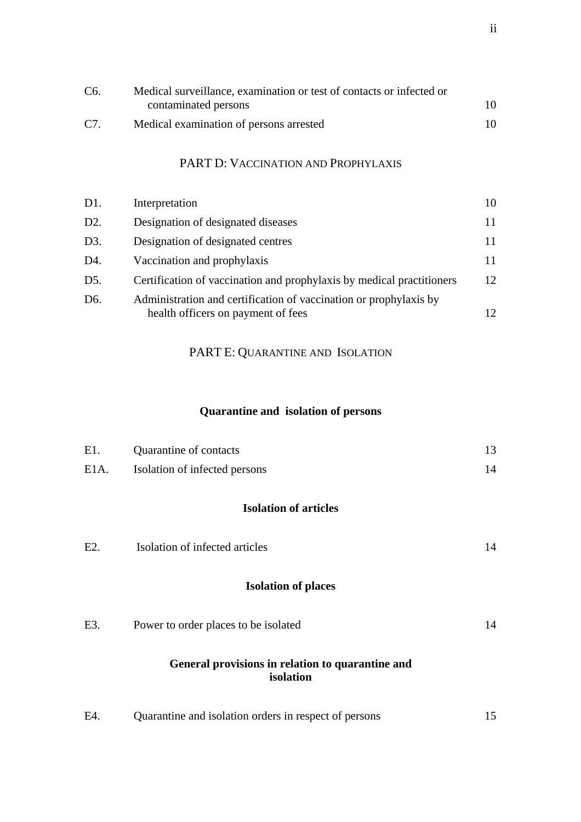| C6. | Medical surveillance, examination or test of contacts or infected or |     |
|-----|----------------------------------------------------------------------|-----|
|     | contaminated persons                                                 | 10. |
| C7. | Medical examination of persons arrested                              | 10. |

# PART D: VACCINATION AND PROPHYLAXIS

| D1.              | Interpretation                                                        | 10 |
|------------------|-----------------------------------------------------------------------|----|
| D2.              | Designation of designated diseases                                    |    |
| D3.              | Designation of designated centres                                     |    |
| D4.              | Vaccination and prophylaxis                                           |    |
| D5.              | Certification of vaccination and prophylaxis by medical practitioners | 12 |
| D <sub>6</sub> . | Administration and certification of vaccination or prophylaxis by     |    |
|                  | health officers on payment of fees                                    |    |

# PART E: QUARANTINE AND ISOLATION

# **Quarantine and isolation of persons**

| E1.     | Quarantine of contacts                                        | 13 |
|---------|---------------------------------------------------------------|----|
| $E1A$ . | Isolation of infected persons                                 | 14 |
|         | <b>Isolation of articles</b>                                  |    |
| E2.     | Isolation of infected articles                                | 14 |
|         | <b>Isolation of places</b>                                    |    |
| E3.     | Power to order places to be isolated                          | 14 |
|         | General provisions in relation to quarantine and<br>isolation |    |
| E4.     | Quarantine and isolation orders in respect of persons         | 15 |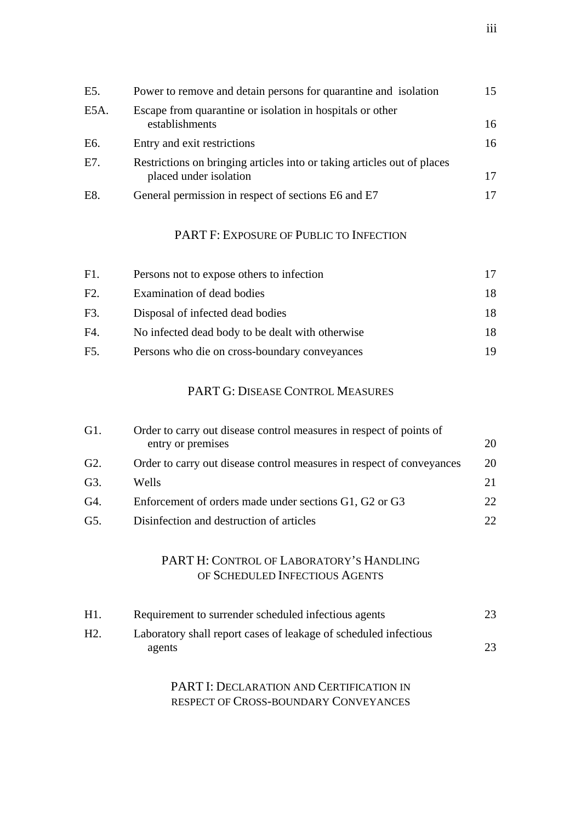| E5.  | Power to remove and detain persons for quarantine and isolation                                   | 15 |
|------|---------------------------------------------------------------------------------------------------|----|
| E5A. | Escape from quarantine or isolation in hospitals or other<br>establishments                       | 16 |
| E6.  | Entry and exit restrictions                                                                       | 16 |
| E7.  | Restrictions on bringing articles into or taking articles out of places<br>placed under isolation | 17 |
| E8.  | General permission in respect of sections E6 and E7                                               |    |

## PART F: EXPOSURE OF PUBLIC TO INFECTION

| F1. | Persons not to expose others to infection        |     |
|-----|--------------------------------------------------|-----|
| F2. | Examination of dead bodies                       | 18. |
| F3. | Disposal of infected dead bodies                 | 18  |
| F4. | No infected dead body to be dealt with otherwise | 18  |
| F5. | Persons who die on cross-boundary conveyances    | 19  |

## PART G: DISEASE CONTROL MEASURES

| G1.              | Order to carry out disease control measures in respect of points of   |     |
|------------------|-----------------------------------------------------------------------|-----|
|                  | entry or premises                                                     | 20  |
| G <sub>2</sub> . | Order to carry out disease control measures in respect of conveyances | 20  |
| G3.              | Wells                                                                 | 21  |
| G4.              | Enforcement of orders made under sections G1, G2 or G3                | 22. |
| G5.              | Disinfection and destruction of articles                              | 22. |

## PART H: CONTROL OF LABORATORY'S HANDLING OF SCHEDULED INFECTIOUS AGENTS

| H1.              | Requirement to surrender scheduled infectious agents                       | 23. |
|------------------|----------------------------------------------------------------------------|-----|
| H <sub>2</sub> . | Laboratory shall report cases of leakage of scheduled infectious<br>agents | 23  |

PART I: DECLARATION AND CERTIFICATION IN RESPECT OF CROSS-BOUNDARY CONVEYANCES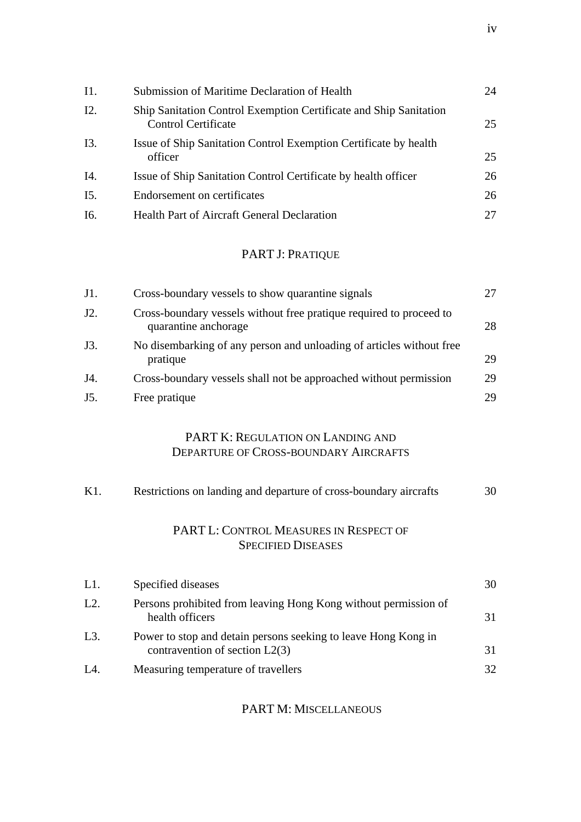| I1.    | Submission of Maritime Declaration of Health                                                    | 24 |
|--------|-------------------------------------------------------------------------------------------------|----|
| I2.    | Ship Sanitation Control Exemption Certificate and Ship Sanitation<br><b>Control Certificate</b> | 25 |
| I3.    | Issue of Ship Sanitation Control Exemption Certificate by health<br>officer                     | 25 |
| I4.    | Issue of Ship Sanitation Control Certificate by health officer                                  | 26 |
| $I5$ . | Endorsement on certificates                                                                     | 26 |
| I6.    | <b>Health Part of Aircraft General Declaration</b>                                              | 27 |

# PART J: PRATIQUE

| J1. | Cross-boundary vessels to show quarantine signals                                           |    |
|-----|---------------------------------------------------------------------------------------------|----|
| J2. | Cross-boundary vessels without free pratique required to proceed to<br>quarantine anchorage | 28 |
| J3. | No disembarking of any person and unloading of articles without free<br>pratique            | 29 |
| J4. | Cross-boundary vessels shall not be approached without permission                           | 29 |
| J5. | Free pratique                                                                               | 29 |

## PART K: REGULATION ON LANDING AND DEPARTURE OF CROSS-BOUNDARY AIRCRAFTS

| $K1$ . | Restrictions on landing and departure of cross-boundary aircrafts                                  | 30 |
|--------|----------------------------------------------------------------------------------------------------|----|
|        | PART L: CONTROL MEASURES IN RESPECT OF<br><b>SPECIFIED DISEASES</b>                                |    |
| L1.    | Specified diseases                                                                                 | 30 |
| L2.    | Persons prohibited from leaving Hong Kong without permission of<br>health officers                 | 31 |
| $L3$ . | Power to stop and detain persons seeking to leave Hong Kong in<br>contravention of section $L2(3)$ | 31 |
| L4.    | Measuring temperature of travellers                                                                | 32 |

#### PART M: MISCELLANEOUS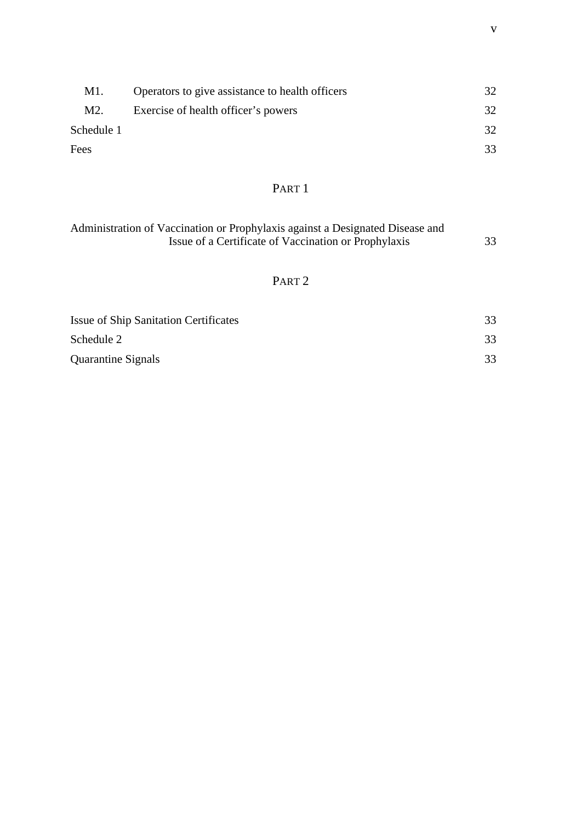| M1.              | Operators to give assistance to health officers |     |
|------------------|-------------------------------------------------|-----|
| M <sub>2</sub> . | Exercise of health officer's powers             | 32. |
| Schedule 1       |                                                 | 32. |
| Fees             |                                                 | 33  |

# PART<sub>1</sub>

| Administration of Vaccination or Prophylaxis against a Designated Disease and |    |
|-------------------------------------------------------------------------------|----|
| Issue of a Certificate of Vaccination or Prophylaxis                          | 33 |

# PART 2

| <b>Issue of Ship Sanitation Certificates</b> | 33 |
|----------------------------------------------|----|
| Schedule 2                                   | 33 |
| <b>Quarantine Signals</b>                    | 33 |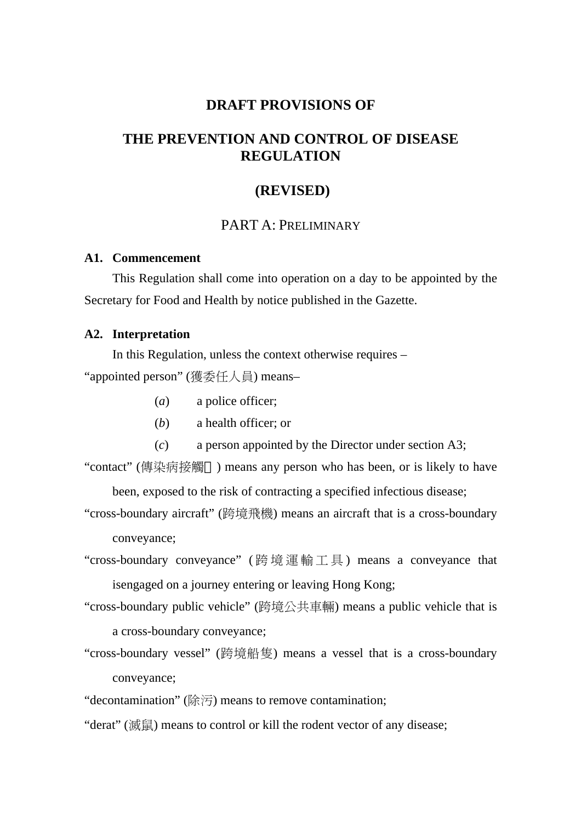## **DRAFT PROVISIONS OF**

# **THE PREVENTION AND CONTROL OF DISEASE REGULATION**

#### **(REVISED)**

## PART A: PRELIMINARY

#### **A1. Commencement**

This Regulation shall come into operation on a day to be appointed by the Secretary for Food and Health by notice published in the Gazette.

#### **A2. Interpretation**

In this Regulation, unless the context otherwise requires – "appointed person" (獲委任人員) means–

- (*a*) a police officer;
- (*b*) a health officer; or
- (*c*) a person appointed by the Director under section A3;

"contact" (傳染病接觸 ) means any person who has been, or is likely to have

been, exposed to the risk of contracting a specified infectious disease;

- "cross-boundary aircraft" (跨境飛機) means an aircraft that is a cross-boundary conveyance;
- "cross-boundary conveyance" ( 跨境運輸工具 ) means a conveyance that isengaged on a journey entering or leaving Hong Kong;
- "cross-boundary public vehicle" (跨境公共車輛) means a public vehicle that is a cross-boundary conveyance;
- "cross-boundary vessel" (跨境船隻) means a vessel that is a cross-boundary conveyance;
- "decontamination" (除污) means to remove contamination;
- "derat" (滅鼠) means to control or kill the rodent vector of any disease;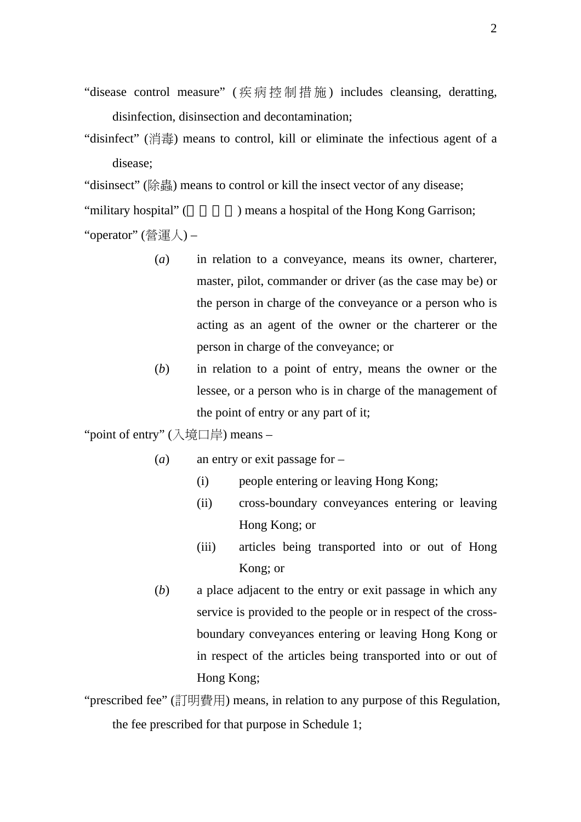- "disease control measure" ( 疾病控制措施 ) includes cleansing, deratting, disinfection, disinsection and decontamination;
- "disinfect" (消毒) means to control, kill or eliminate the infectious agent of a disease;

"disinsect" (除蟲) means to control or kill the insect vector of any disease;

"military hospital" (The Supersection and Supersection and Supersection of the Hong Kong Garrison; "operator" (營運人) –

- (*a*) in relation to a conveyance, means its owner, charterer, master, pilot, commander or driver (as the case may be) or the person in charge of the conveyance or a person who is acting as an agent of the owner or the charterer or the person in charge of the conveyance; or
- (*b*) in relation to a point of entry, means the owner or the lessee, or a person who is in charge of the management of the point of entry or any part of it;

"point of entry" (入境口岸) means –

- (*a*) an entry or exit passage for
	- (i) people entering or leaving Hong Kong;
	- (ii) cross-boundary conveyances entering or leaving Hong Kong; or
	- (iii) articles being transported into or out of Hong Kong; or
- (*b*) a place adjacent to the entry or exit passage in which any service is provided to the people or in respect of the crossboundary conveyances entering or leaving Hong Kong or in respect of the articles being transported into or out of Hong Kong;

"prescribed fee" (訂明費用) means, in relation to any purpose of this Regulation, the fee prescribed for that purpose in Schedule 1;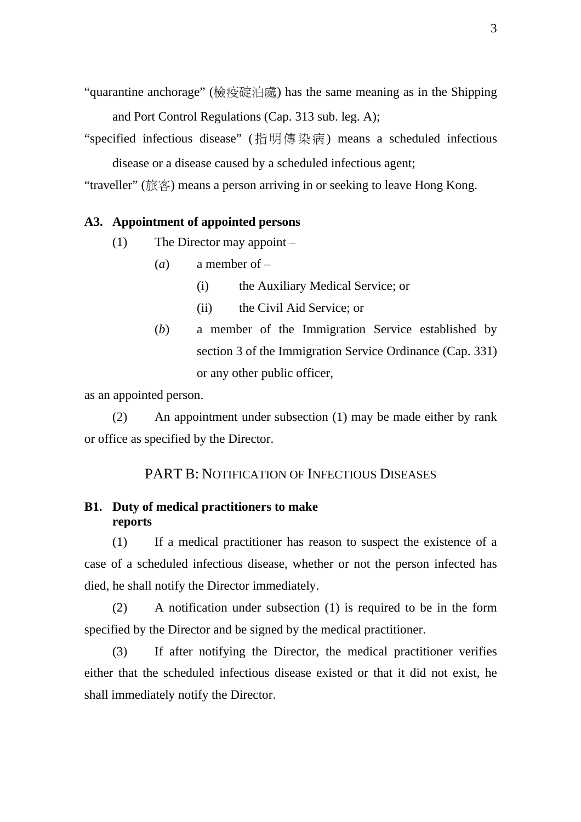- "quarantine anchorage" (檢疫碇泊處) has the same meaning as in the Shipping and Port Control Regulations (Cap. 313 sub. leg. A);
- "specified infectious disease" (指明傳染病) means a scheduled infectious disease or a disease caused by a scheduled infectious agent;

"traveller" (旅客) means a person arriving in or seeking to leave Hong Kong.

#### **A3. Appointment of appointed persons**

- (1) The Director may appoint
	- (*a*) a member of
		- (i) the Auxiliary Medical Service; or
		- (ii) the Civil Aid Service; or
	- (*b*) a member of the Immigration Service established by section 3 of the Immigration Service Ordinance (Cap. 331) or any other public officer,

as an appointed person.

(2) An appointment under subsection (1) may be made either by rank or office as specified by the Director.

#### PART B: NOTIFICATION OF INFECTIOUS DISEASES

## **B1. Duty of medical practitioners to make reports**

(1) If a medical practitioner has reason to suspect the existence of a case of a scheduled infectious disease, whether or not the person infected has died, he shall notify the Director immediately.

(2) A notification under subsection (1) is required to be in the form specified by the Director and be signed by the medical practitioner.

(3) If after notifying the Director, the medical practitioner verifies either that the scheduled infectious disease existed or that it did not exist, he shall immediately notify the Director.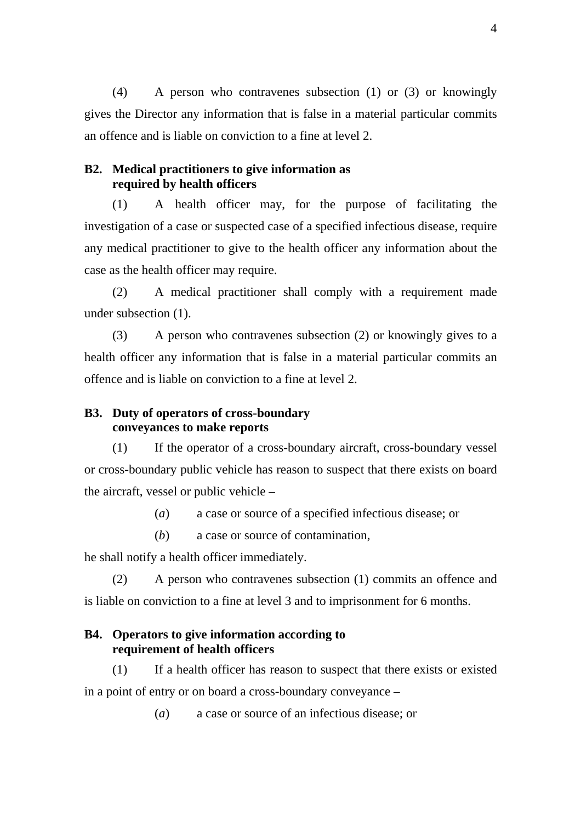(4) A person who contravenes subsection (1) or (3) or knowingly gives the Director any information that is false in a material particular commits an offence and is liable on conviction to a fine at level 2.

#### **B2. Medical practitioners to give information as required by health officers**

(1) A health officer may, for the purpose of facilitating the investigation of a case or suspected case of a specified infectious disease, require any medical practitioner to give to the health officer any information about the case as the health officer may require.

(2) A medical practitioner shall comply with a requirement made under subsection (1).

(3) A person who contravenes subsection (2) or knowingly gives to a health officer any information that is false in a material particular commits an offence and is liable on conviction to a fine at level 2.

## **B3. Duty of operators of cross-boundary conveyances to make reports**

(1) If the operator of a cross-boundary aircraft, cross-boundary vessel or cross-boundary public vehicle has reason to suspect that there exists on board the aircraft, vessel or public vehicle –

(*a*) a case or source of a specified infectious disease; or

(*b*) a case or source of contamination,

he shall notify a health officer immediately.

(2) A person who contravenes subsection (1) commits an offence and is liable on conviction to a fine at level 3 and to imprisonment for 6 months.

## **B4. Operators to give information according to requirement of health officers**

(1) If a health officer has reason to suspect that there exists or existed in a point of entry or on board a cross-boundary conveyance –

(*a*) a case or source of an infectious disease; or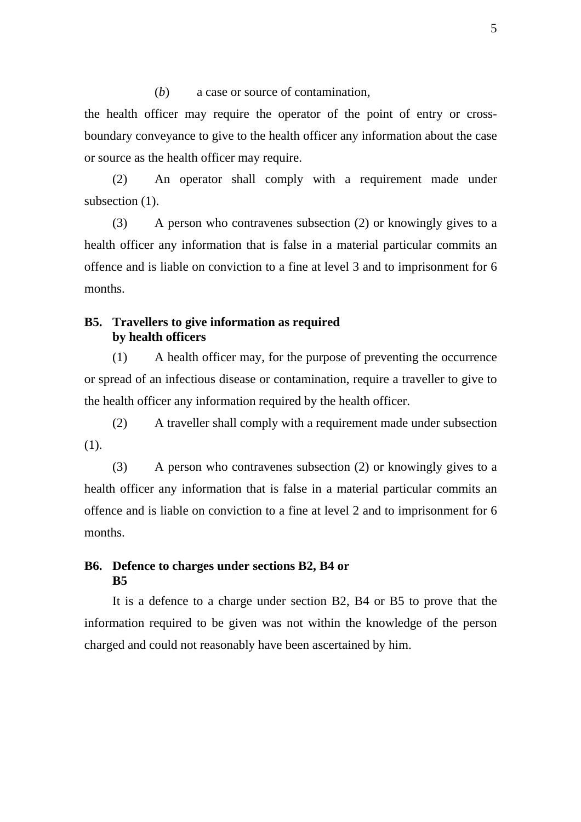(*b*) a case or source of contamination,

the health officer may require the operator of the point of entry or crossboundary conveyance to give to the health officer any information about the case or source as the health officer may require.

(2) An operator shall comply with a requirement made under subsection  $(1)$ .

(3) A person who contravenes subsection (2) or knowingly gives to a health officer any information that is false in a material particular commits an offence and is liable on conviction to a fine at level 3 and to imprisonment for 6 months.

### **B5. Travellers to give information as required by health officers**

(1) A health officer may, for the purpose of preventing the occurrence or spread of an infectious disease or contamination, require a traveller to give to the health officer any information required by the health officer.

(2) A traveller shall comply with a requirement made under subsection (1).

(3) A person who contravenes subsection (2) or knowingly gives to a health officer any information that is false in a material particular commits an offence and is liable on conviction to a fine at level 2 and to imprisonment for 6 months.

## **B6. Defence to charges under sections B2, B4 or B5**

It is a defence to a charge under section B2, B4 or B5 to prove that the information required to be given was not within the knowledge of the person charged and could not reasonably have been ascertained by him.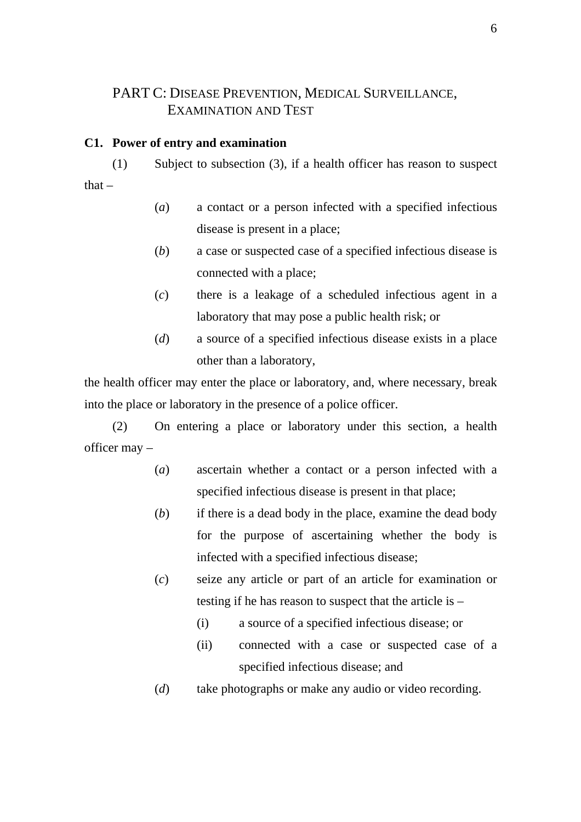# PART C: DISEASE PREVENTION, MEDICAL SURVEILLANCE, EXAMINATION AND TEST

#### **C1. Power of entry and examination**

(1) Subject to subsection (3), if a health officer has reason to suspect that  $-$ 

- (*a*) a contact or a person infected with a specified infectious disease is present in a place;
- (*b*) a case or suspected case of a specified infectious disease is connected with a place;
- (*c*) there is a leakage of a scheduled infectious agent in a laboratory that may pose a public health risk; or
- (*d*) a source of a specified infectious disease exists in a place other than a laboratory,

the health officer may enter the place or laboratory, and, where necessary, break into the place or laboratory in the presence of a police officer.

(2) On entering a place or laboratory under this section, a health officer may –

- (*a*) ascertain whether a contact or a person infected with a specified infectious disease is present in that place;
- (*b*) if there is a dead body in the place, examine the dead body for the purpose of ascertaining whether the body is infected with a specified infectious disease;
- (*c*) seize any article or part of an article for examination or testing if he has reason to suspect that the article is –
	- (i) a source of a specified infectious disease; or
	- (ii) connected with a case or suspected case of a specified infectious disease; and
- (*d*) take photographs or make any audio or video recording.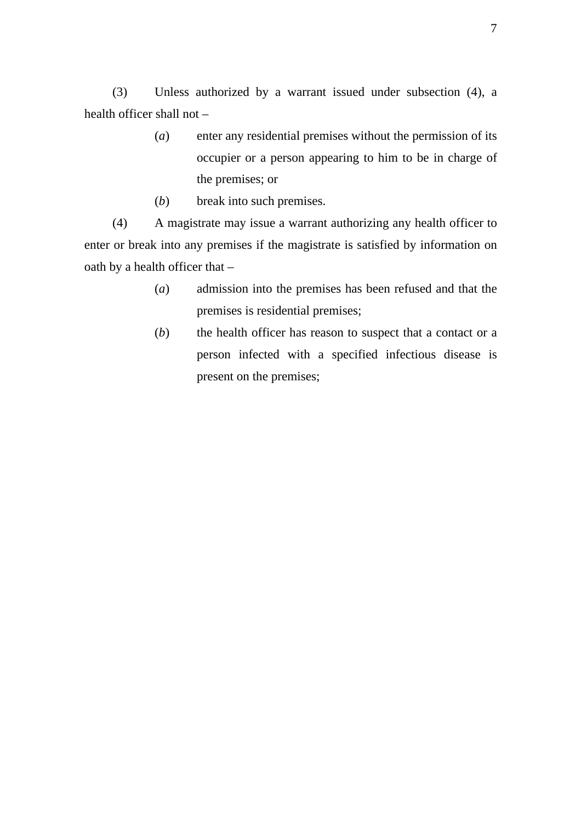(3) Unless authorized by a warrant issued under subsection (4), a health officer shall not –

- (*a*) enter any residential premises without the permission of its occupier or a person appearing to him to be in charge of the premises; or
- (*b*) break into such premises.

(4) A magistrate may issue a warrant authorizing any health officer to enter or break into any premises if the magistrate is satisfied by information on oath by a health officer that –

- (*a*) admission into the premises has been refused and that the premises is residential premises;
- (*b*) the health officer has reason to suspect that a contact or a person infected with a specified infectious disease is present on the premises;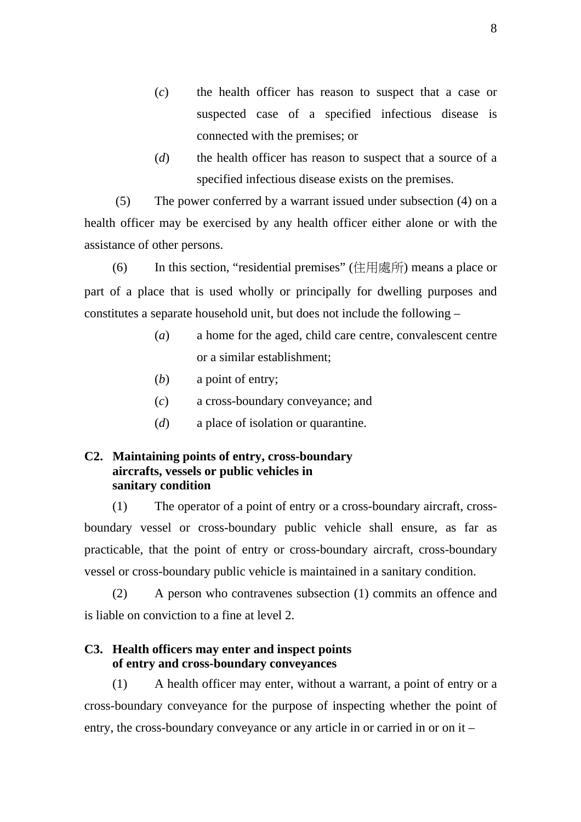- (*c*) the health officer has reason to suspect that a case or suspected case of a specified infectious disease is connected with the premises; or
- (*d*) the health officer has reason to suspect that a source of a specified infectious disease exists on the premises.

 (5) The power conferred by a warrant issued under subsection (4) on a health officer may be exercised by any health officer either alone or with the assistance of other persons.

(6) In this section, "residential premises" (住用處所) means a place or part of a place that is used wholly or principally for dwelling purposes and constitutes a separate household unit, but does not include the following –

- (*a*) a home for the aged, child care centre, convalescent centre or a similar establishment;
- (*b*) a point of entry;
- (*c*) a cross-boundary conveyance; and
- (*d*) a place of isolation or quarantine.

## **C2. Maintaining points of entry, cross-boundary aircrafts, vessels or public vehicles in sanitary condition**

(1) The operator of a point of entry or a cross-boundary aircraft, crossboundary vessel or cross-boundary public vehicle shall ensure, as far as practicable, that the point of entry or cross-boundary aircraft, cross-boundary vessel or cross-boundary public vehicle is maintained in a sanitary condition.

(2) A person who contravenes subsection (1) commits an offence and is liable on conviction to a fine at level 2.

## **C3. Health officers may enter and inspect points of entry and cross-boundary conveyances**

(1) A health officer may enter, without a warrant, a point of entry or a cross-boundary conveyance for the purpose of inspecting whether the point of entry, the cross-boundary conveyance or any article in or carried in or on it –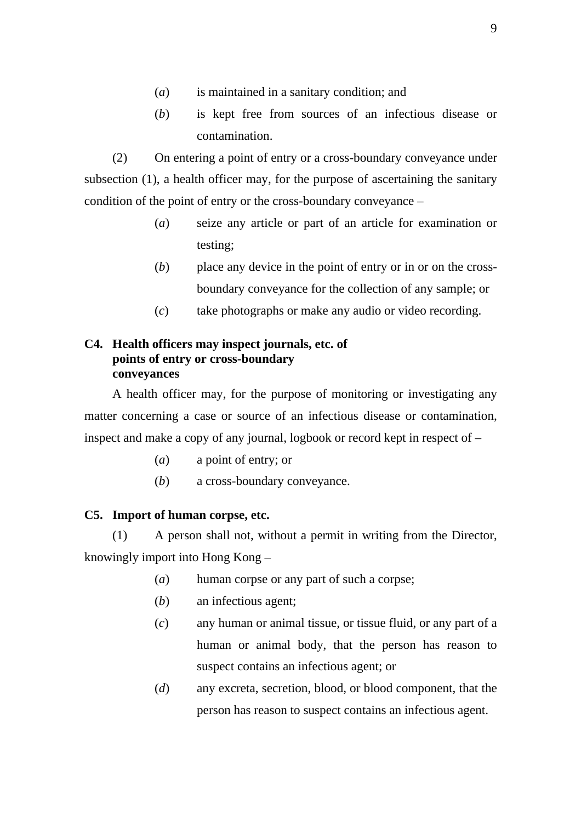- (*a*) is maintained in a sanitary condition; and
- (*b*) is kept free from sources of an infectious disease or contamination.

(2) On entering a point of entry or a cross-boundary conveyance under subsection (1), a health officer may, for the purpose of ascertaining the sanitary condition of the point of entry or the cross-boundary conveyance –

- (*a*) seize any article or part of an article for examination or testing;
- (*b*) place any device in the point of entry or in or on the crossboundary conveyance for the collection of any sample; or
- (*c*) take photographs or make any audio or video recording.

## **C4. Health officers may inspect journals, etc. of points of entry or cross-boundary conveyances**

A health officer may, for the purpose of monitoring or investigating any matter concerning a case or source of an infectious disease or contamination, inspect and make a copy of any journal, logbook or record kept in respect of –

- (*a*) a point of entry; or
- (*b*) a cross-boundary conveyance.

#### **C5. Import of human corpse, etc.**

(1) A person shall not, without a permit in writing from the Director, knowingly import into Hong Kong –

- (*a*) human corpse or any part of such a corpse;
- (*b*) an infectious agent;
- (*c*) any human or animal tissue, or tissue fluid, or any part of a human or animal body, that the person has reason to suspect contains an infectious agent; or
- (*d*) any excreta, secretion, blood, or blood component, that the person has reason to suspect contains an infectious agent.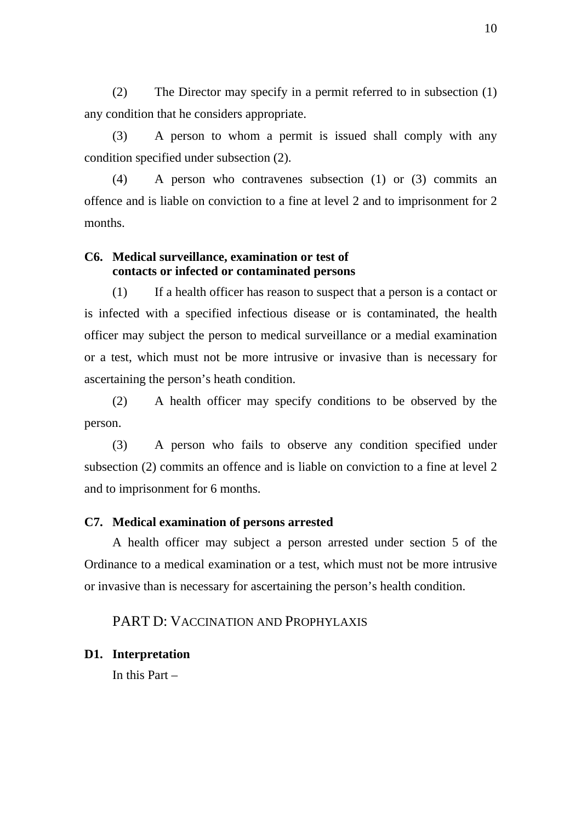(2) The Director may specify in a permit referred to in subsection (1) any condition that he considers appropriate.

(3) A person to whom a permit is issued shall comply with any condition specified under subsection (2).

(4) A person who contravenes subsection (1) or (3) commits an offence and is liable on conviction to a fine at level 2 and to imprisonment for 2 months.

## **C6. Medical surveillance, examination or test of contacts or infected or contaminated persons**

(1) If a health officer has reason to suspect that a person is a contact or is infected with a specified infectious disease or is contaminated, the health officer may subject the person to medical surveillance or a medial examination or a test, which must not be more intrusive or invasive than is necessary for ascertaining the person's heath condition.

(2) A health officer may specify conditions to be observed by the person.

(3) A person who fails to observe any condition specified under subsection (2) commits an offence and is liable on conviction to a fine at level 2 and to imprisonment for 6 months.

#### **C7. Medical examination of persons arrested**

A health officer may subject a person arrested under section 5 of the Ordinance to a medical examination or a test, which must not be more intrusive or invasive than is necessary for ascertaining the person's health condition.

## PART D: VACCINATION AND PROPHYLAXIS

#### **D1. Interpretation**

In this Part –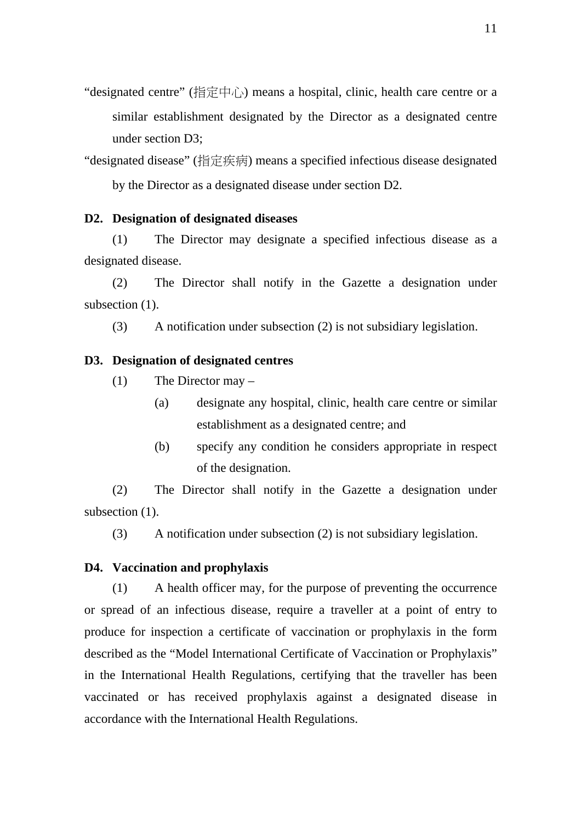"designated centre" (指定中心) means a hospital, clinic, health care centre or a similar establishment designated by the Director as a designated centre under section D3;

"designated disease" (指定疾病) means a specified infectious disease designated by the Director as a designated disease under section D2.

#### **D2. Designation of designated diseases**

(1) The Director may designate a specified infectious disease as a designated disease.

(2) The Director shall notify in the Gazette a designation under subsection  $(1)$ .

(3) A notification under subsection (2) is not subsidiary legislation.

### **D3. Designation of designated centres**

- (1) The Director may
	- (a) designate any hospital, clinic, health care centre or similar establishment as a designated centre; and
	- (b) specify any condition he considers appropriate in respect of the designation.

(2) The Director shall notify in the Gazette a designation under subsection  $(1)$ .

(3) A notification under subsection (2) is not subsidiary legislation.

#### **D4. Vaccination and prophylaxis**

(1) A health officer may, for the purpose of preventing the occurrence or spread of an infectious disease, require a traveller at a point of entry to produce for inspection a certificate of vaccination or prophylaxis in the form described as the "Model International Certificate of Vaccination or Prophylaxis" in the International Health Regulations, certifying that the traveller has been vaccinated or has received prophylaxis against a designated disease in accordance with the International Health Regulations.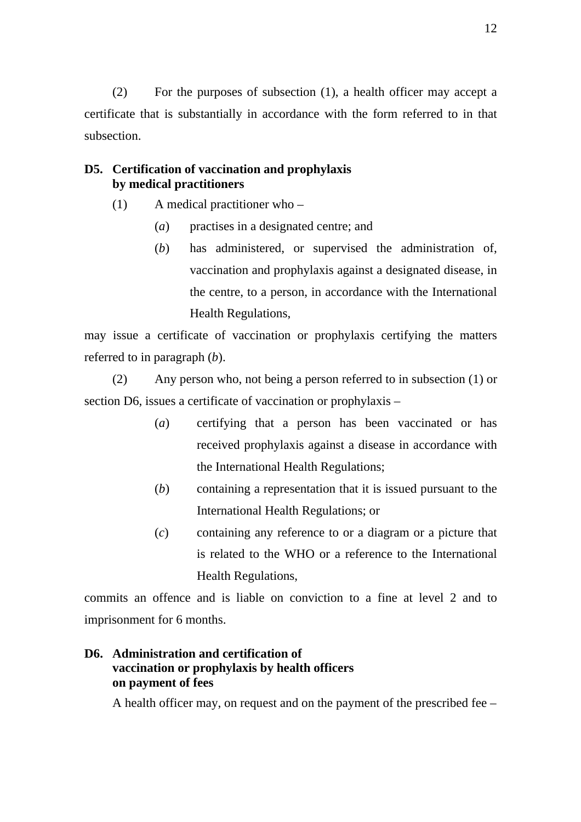(2) For the purposes of subsection (1), a health officer may accept a certificate that is substantially in accordance with the form referred to in that subsection.

## **D5. Certification of vaccination and prophylaxis by medical practitioners**

- (1) A medical practitioner who
	- (*a*) practises in a designated centre; and
	- (*b*) has administered, or supervised the administration of, vaccination and prophylaxis against a designated disease, in the centre, to a person, in accordance with the International Health Regulations,

may issue a certificate of vaccination or prophylaxis certifying the matters referred to in paragraph (*b*).

(2) Any person who, not being a person referred to in subsection (1) or section D6, issues a certificate of vaccination or prophylaxis –

- (*a*) certifying that a person has been vaccinated or has received prophylaxis against a disease in accordance with the International Health Regulations;
- (*b*) containing a representation that it is issued pursuant to the International Health Regulations; or
- (*c*) containing any reference to or a diagram or a picture that is related to the WHO or a reference to the International Health Regulations,

commits an offence and is liable on conviction to a fine at level 2 and to imprisonment for 6 months.

## **D6. Administration and certification of vaccination or prophylaxis by health officers on payment of fees**

A health officer may, on request and on the payment of the prescribed fee –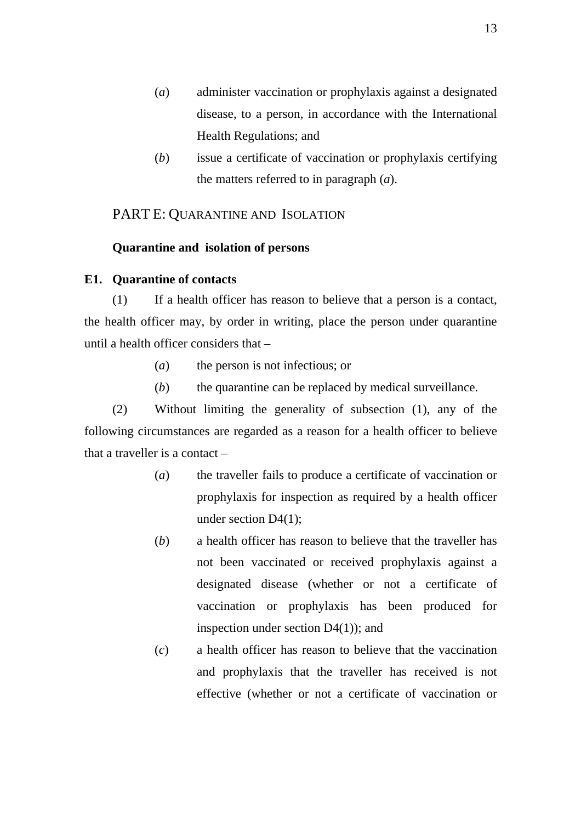- (*a*) administer vaccination or prophylaxis against a designated disease, to a person, in accordance with the International Health Regulations; and
- (*b*) issue a certificate of vaccination or prophylaxis certifying the matters referred to in paragraph (*a*).

## PART E: QUARANTINE AND ISOLATION

#### **Quarantine and isolation of persons**

#### **E1. Quarantine of contacts**

(1) If a health officer has reason to believe that a person is a contact, the health officer may, by order in writing, place the person under quarantine until a health officer considers that –

- (*a*) the person is not infectious; or
- (*b*) the quarantine can be replaced by medical surveillance.

(2) Without limiting the generality of subsection (1), any of the following circumstances are regarded as a reason for a health officer to believe that a traveller is a contact –

- (*a*) the traveller fails to produce a certificate of vaccination or prophylaxis for inspection as required by a health officer under section D4(1);
- (*b*) a health officer has reason to believe that the traveller has not been vaccinated or received prophylaxis against a designated disease (whether or not a certificate of vaccination or prophylaxis has been produced for inspection under section D4(1)); and
- (*c*) a health officer has reason to believe that the vaccination and prophylaxis that the traveller has received is not effective (whether or not a certificate of vaccination or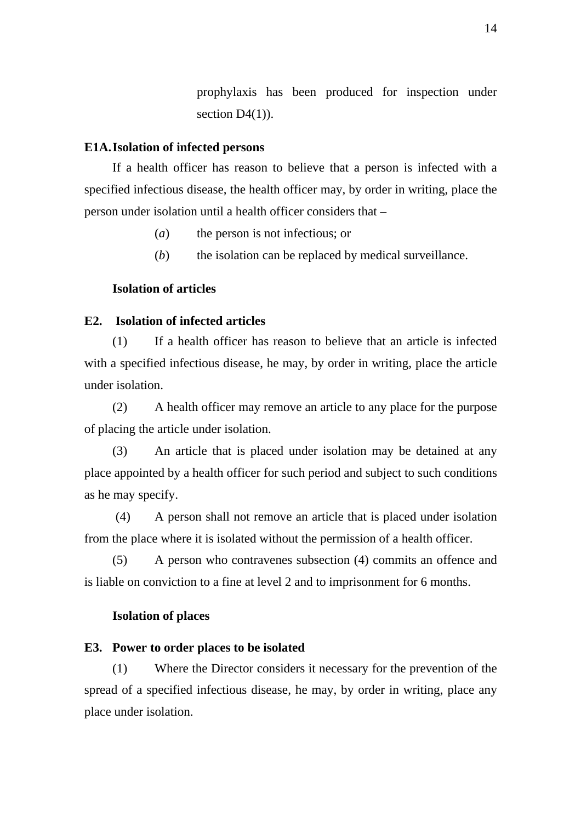prophylaxis has been produced for inspection under section  $D4(1)$ ).

## **E1A. Isolation of infected persons**

If a health officer has reason to believe that a person is infected with a specified infectious disease, the health officer may, by order in writing, place the person under isolation until a health officer considers that –

- (*a*) the person is not infectious; or
- (*b*) the isolation can be replaced by medical surveillance.

#### **Isolation of articles**

#### **E2. Isolation of infected articles**

(1) If a health officer has reason to believe that an article is infected with a specified infectious disease, he may, by order in writing, place the article under isolation.

(2) A health officer may remove an article to any place for the purpose of placing the article under isolation.

(3) An article that is placed under isolation may be detained at any place appointed by a health officer for such period and subject to such conditions as he may specify.

 (4) A person shall not remove an article that is placed under isolation from the place where it is isolated without the permission of a health officer.

(5) A person who contravenes subsection (4) commits an offence and is liable on conviction to a fine at level 2 and to imprisonment for 6 months.

#### **Isolation of places**

#### **E3. Power to order places to be isolated**

(1) Where the Director considers it necessary for the prevention of the spread of a specified infectious disease, he may, by order in writing, place any place under isolation.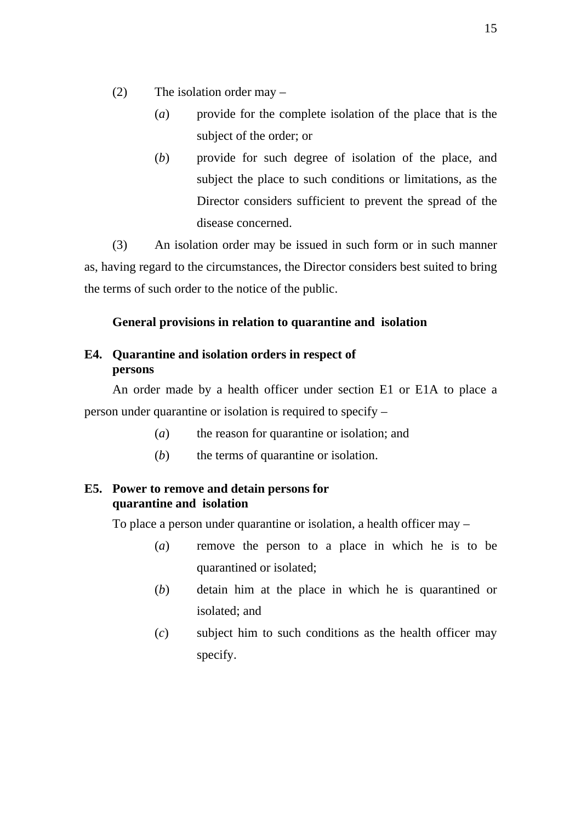- (2) The isolation order may
	- (*a*) provide for the complete isolation of the place that is the subject of the order; or
	- (*b*) provide for such degree of isolation of the place, and subject the place to such conditions or limitations, as the Director considers sufficient to prevent the spread of the disease concerned.

(3) An isolation order may be issued in such form or in such manner as, having regard to the circumstances, the Director considers best suited to bring the terms of such order to the notice of the public.

## **General provisions in relation to quarantine and isolation**

## **E4. Quarantine and isolation orders in respect of persons**

An order made by a health officer under section E1 or E1A to place a person under quarantine or isolation is required to specify –

- (*a*) the reason for quarantine or isolation; and
- (*b*) the terms of quarantine or isolation.

## **E5. Power to remove and detain persons for quarantine and isolation**

To place a person under quarantine or isolation, a health officer may –

- (*a*) remove the person to a place in which he is to be quarantined or isolated;
- (*b*) detain him at the place in which he is quarantined or isolated; and
- (*c*) subject him to such conditions as the health officer may specify.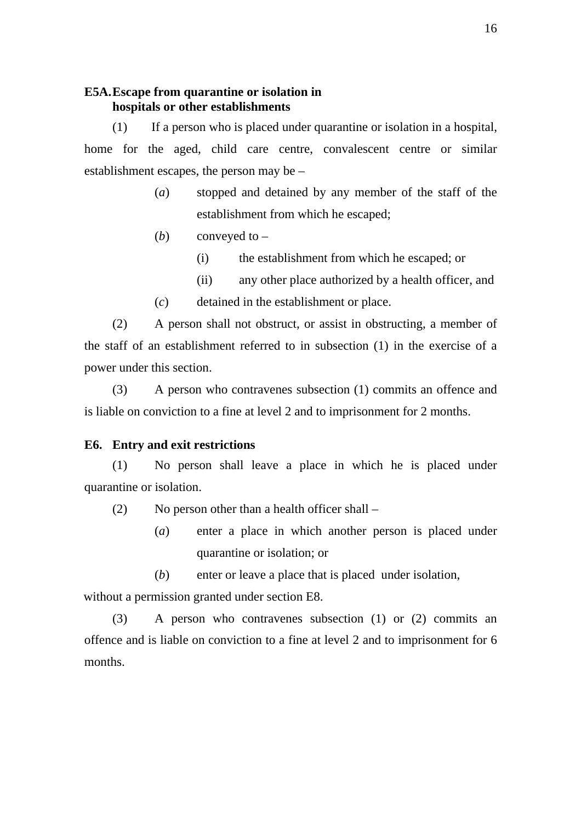### **E5A. Escape from quarantine or isolation in hospitals or other establishments**

(1) If a person who is placed under quarantine or isolation in a hospital, home for the aged, child care centre, convalescent centre or similar establishment escapes, the person may be –

- (*a*) stopped and detained by any member of the staff of the establishment from which he escaped;
- (*b*) conveyed to
	- (i) the establishment from which he escaped; or
	- (ii) any other place authorized by a health officer, and
- (*c*) detained in the establishment or place.

(2) A person shall not obstruct, or assist in obstructing, a member of the staff of an establishment referred to in subsection (1) in the exercise of a power under this section.

(3) A person who contravenes subsection (1) commits an offence and is liable on conviction to a fine at level 2 and to imprisonment for 2 months.

## **E6. Entry and exit restrictions**

(1) No person shall leave a place in which he is placed under quarantine or isolation.

- (2) No person other than a health officer shall
	- (*a*) enter a place in which another person is placed under quarantine or isolation; or

(*b*) enter or leave a place that is placed under isolation, without a permission granted under section E8.

(3) A person who contravenes subsection (1) or (2) commits an offence and is liable on conviction to a fine at level 2 and to imprisonment for 6 months.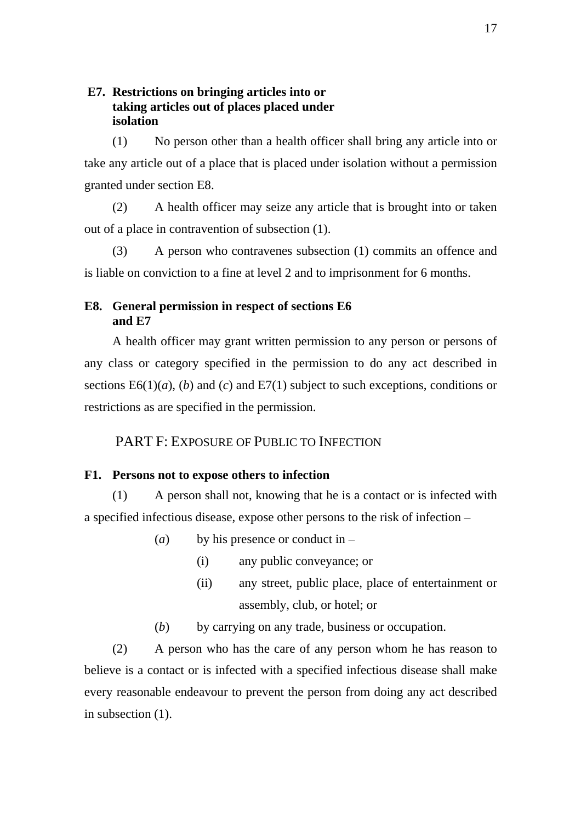## **E7. Restrictions on bringing articles into or taking articles out of places placed under isolation**

(1) No person other than a health officer shall bring any article into or take any article out of a place that is placed under isolation without a permission granted under section E8.

(2) A health officer may seize any article that is brought into or taken out of a place in contravention of subsection (1).

(3) A person who contravenes subsection (1) commits an offence and is liable on conviction to a fine at level 2 and to imprisonment for 6 months.

## **E8. General permission in respect of sections E6 and E7**

A health officer may grant written permission to any person or persons of any class or category specified in the permission to do any act described in sections E6(1)(*a*), (*b*) and (*c*) and E7(1) subject to such exceptions, conditions or restrictions as are specified in the permission.

PART F: EXPOSURE OF PUBLIC TO INFECTION

## **F1. Persons not to expose others to infection**

(1) A person shall not, knowing that he is a contact or is infected with a specified infectious disease, expose other persons to the risk of infection –

- (*a*) by his presence or conduct in
	- (i) any public conveyance; or
	- (ii) any street, public place, place of entertainment or assembly, club, or hotel; or
- (*b*) by carrying on any trade, business or occupation.

(2) A person who has the care of any person whom he has reason to believe is a contact or is infected with a specified infectious disease shall make every reasonable endeavour to prevent the person from doing any act described in subsection (1).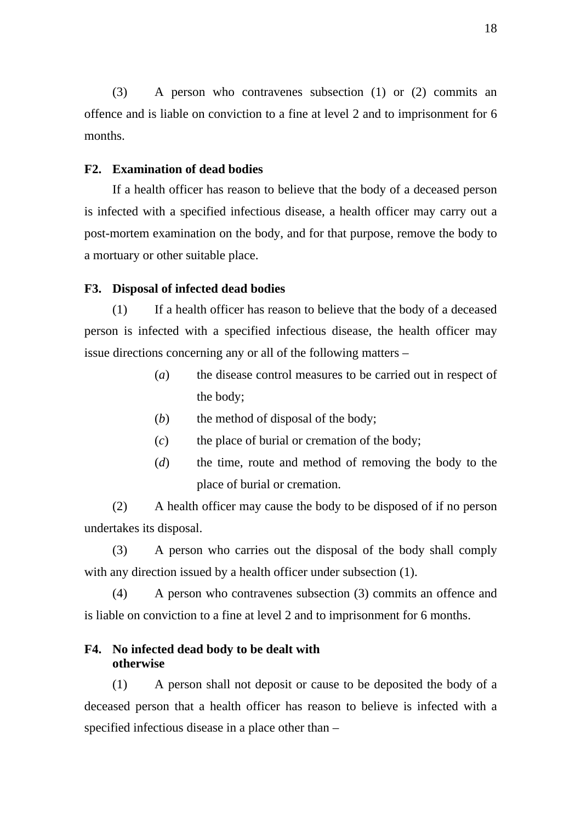(3) A person who contravenes subsection (1) or (2) commits an offence and is liable on conviction to a fine at level 2 and to imprisonment for 6 months.

#### **F2. Examination of dead bodies**

If a health officer has reason to believe that the body of a deceased person is infected with a specified infectious disease, a health officer may carry out a post-mortem examination on the body, and for that purpose, remove the body to a mortuary or other suitable place.

#### **F3. Disposal of infected dead bodies**

(1) If a health officer has reason to believe that the body of a deceased person is infected with a specified infectious disease, the health officer may issue directions concerning any or all of the following matters –

- (*a*) the disease control measures to be carried out in respect of the body;
- (*b*) the method of disposal of the body;
- (*c*) the place of burial or cremation of the body;
- (*d*) the time, route and method of removing the body to the place of burial or cremation.

(2) A health officer may cause the body to be disposed of if no person undertakes its disposal.

(3) A person who carries out the disposal of the body shall comply with any direction issued by a health officer under subsection  $(1)$ .

(4) A person who contravenes subsection (3) commits an offence and is liable on conviction to a fine at level 2 and to imprisonment for 6 months.

## **F4. No infected dead body to be dealt with otherwise**

(1) A person shall not deposit or cause to be deposited the body of a deceased person that a health officer has reason to believe is infected with a specified infectious disease in a place other than –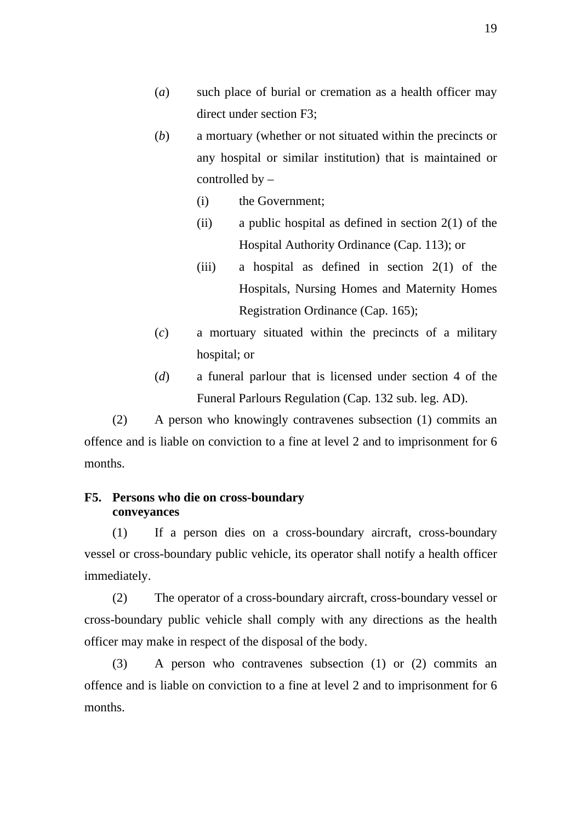- (*a*) such place of burial or cremation as a health officer may direct under section F3;
- (*b*) a mortuary (whether or not situated within the precincts or any hospital or similar institution) that is maintained or controlled by –
	- (i) the Government;
	- (ii) a public hospital as defined in section  $2(1)$  of the Hospital Authority Ordinance (Cap. 113); or
	- (iii) a hospital as defined in section  $2(1)$  of the Hospitals, Nursing Homes and Maternity Homes Registration Ordinance (Cap. 165);
- (*c*) a mortuary situated within the precincts of a military hospital; or
- (*d*) a funeral parlour that is licensed under section 4 of the Funeral Parlours Regulation (Cap. 132 sub. leg. AD).

(2) A person who knowingly contravenes subsection (1) commits an offence and is liable on conviction to a fine at level 2 and to imprisonment for 6 months.

## **F5. Persons who die on cross-boundary conveyances**

(1) If a person dies on a cross-boundary aircraft, cross-boundary vessel or cross-boundary public vehicle, its operator shall notify a health officer immediately.

(2) The operator of a cross-boundary aircraft, cross-boundary vessel or cross-boundary public vehicle shall comply with any directions as the health officer may make in respect of the disposal of the body.

(3) A person who contravenes subsection (1) or (2) commits an offence and is liable on conviction to a fine at level 2 and to imprisonment for 6 months.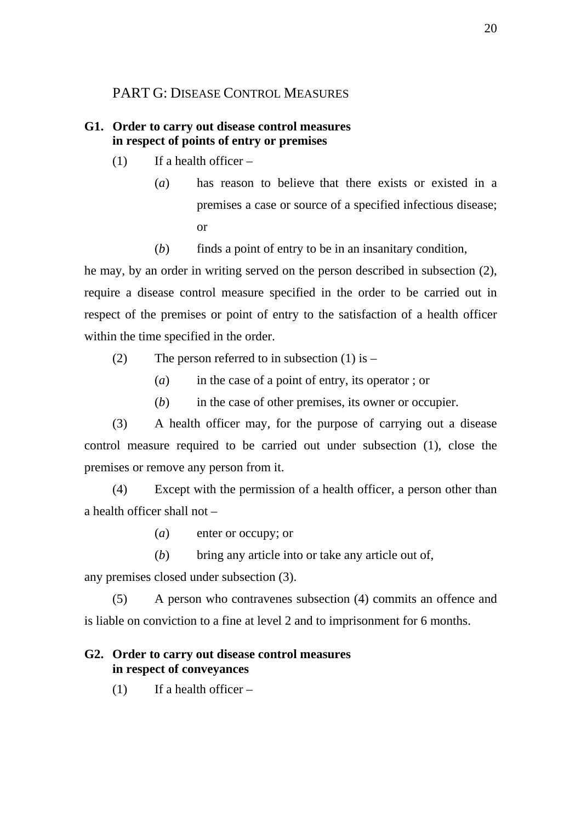## PART G: DISEASE CONTROL MEASURES

## **G1. Order to carry out disease control measures in respect of points of entry or premises**

- $(1)$  If a health officer
	- (*a*) has reason to believe that there exists or existed in a premises a case or source of a specified infectious disease; or
	- (*b*) finds a point of entry to be in an insanitary condition,

he may, by an order in writing served on the person described in subsection (2), require a disease control measure specified in the order to be carried out in respect of the premises or point of entry to the satisfaction of a health officer within the time specified in the order.

- (2) The person referred to in subsection  $(1)$  is
	- (*a*) in the case of a point of entry, its operator ; or
	- (*b*) in the case of other premises, its owner or occupier.

(3) A health officer may, for the purpose of carrying out a disease control measure required to be carried out under subsection (1), close the premises or remove any person from it.

(4) Except with the permission of a health officer, a person other than a health officer shall not –

- (*a*) enter or occupy; or
- (*b*) bring any article into or take any article out of,

any premises closed under subsection (3).

(5) A person who contravenes subsection (4) commits an offence and is liable on conviction to a fine at level 2 and to imprisonment for 6 months.

## **G2. Order to carry out disease control measures in respect of conveyances**

 $(1)$  If a health officer –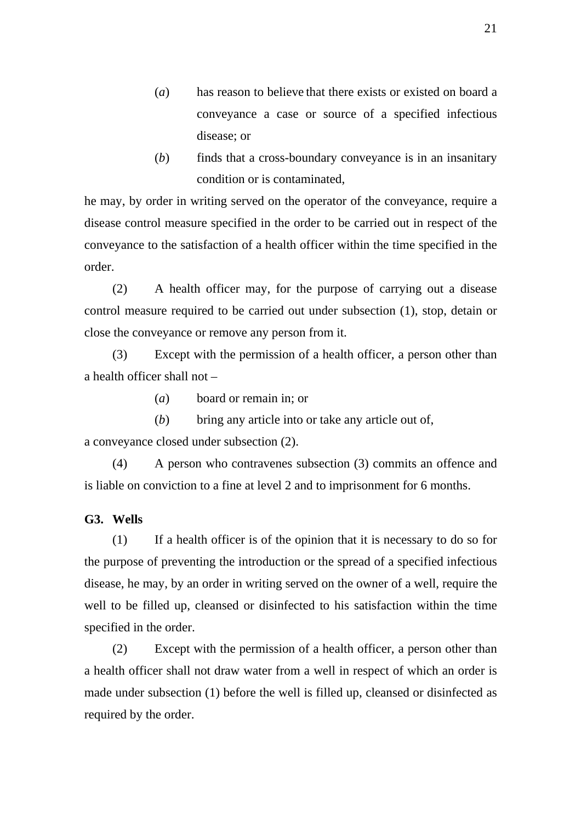- (*a*) has reason to believe that there exists or existed on board a conveyance a case or source of a specified infectious disease; or
- (*b*) finds that a cross-boundary conveyance is in an insanitary condition or is contaminated,

he may, by order in writing served on the operator of the conveyance, require a disease control measure specified in the order to be carried out in respect of the conveyance to the satisfaction of a health officer within the time specified in the order.

(2) A health officer may, for the purpose of carrying out a disease control measure required to be carried out under subsection (1), stop, detain or close the conveyance or remove any person from it.

(3) Except with the permission of a health officer, a person other than a health officer shall not –

(*a*) board or remain in; or

(*b*) bring any article into or take any article out of, a conveyance closed under subsection (2).

(4) A person who contravenes subsection (3) commits an offence and is liable on conviction to a fine at level 2 and to imprisonment for 6 months.

**G3. Wells** 

(1) If a health officer is of the opinion that it is necessary to do so for the purpose of preventing the introduction or the spread of a specified infectious disease, he may, by an order in writing served on the owner of a well, require the well to be filled up, cleansed or disinfected to his satisfaction within the time specified in the order.

(2) Except with the permission of a health officer, a person other than a health officer shall not draw water from a well in respect of which an order is made under subsection (1) before the well is filled up, cleansed or disinfected as required by the order.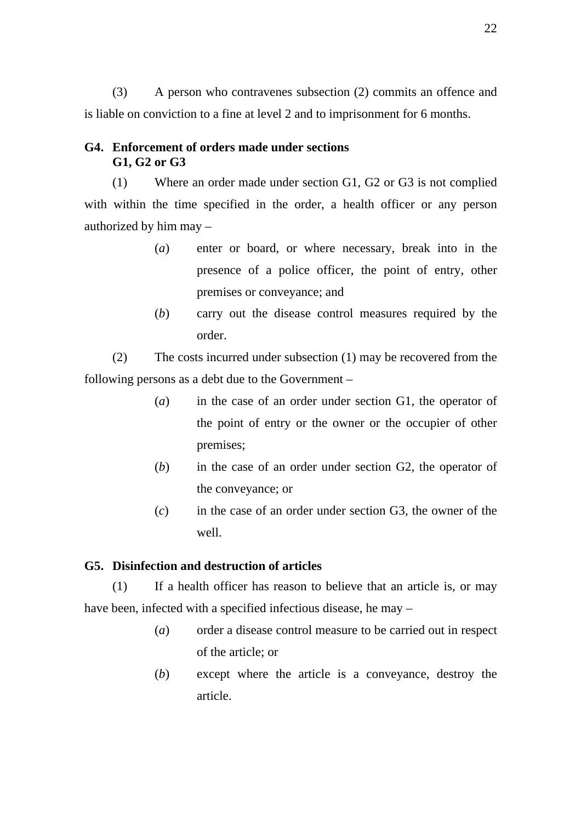(3) A person who contravenes subsection (2) commits an offence and is liable on conviction to a fine at level 2 and to imprisonment for 6 months.

## **G4. Enforcement of orders made under sections G1, G2 or G3**

(1) Where an order made under section G1, G2 or G3 is not complied with within the time specified in the order, a health officer or any person authorized by him may –

- (*a*) enter or board, or where necessary, break into in the presence of a police officer, the point of entry, other premises or conveyance; and
- (*b*) carry out the disease control measures required by the order.

(2) The costs incurred under subsection (1) may be recovered from the following persons as a debt due to the Government –

- (*a*) in the case of an order under section G1, the operator of the point of entry or the owner or the occupier of other premises;
- (*b*) in the case of an order under section G2, the operator of the conveyance; or
- (*c*) in the case of an order under section G3, the owner of the well.

## **G5. Disinfection and destruction of articles**

(1) If a health officer has reason to believe that an article is, or may have been, infected with a specified infectious disease, he may –

- (*a*) order a disease control measure to be carried out in respect of the article; or
- (*b*) except where the article is a conveyance, destroy the article.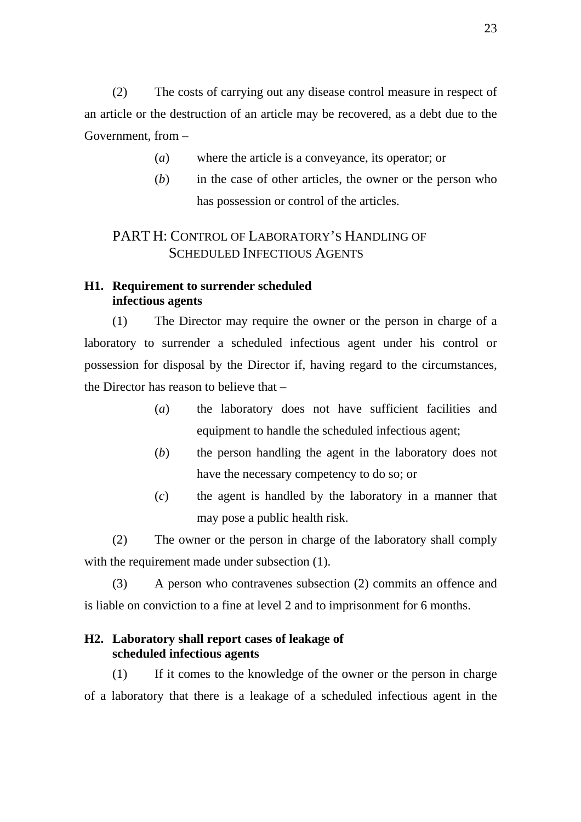(2) The costs of carrying out any disease control measure in respect of an article or the destruction of an article may be recovered, as a debt due to the Government, from –

- (*a*) where the article is a conveyance, its operator; or
- (*b*) in the case of other articles, the owner or the person who has possession or control of the articles.

# PART H: CONTROL OF LABORATORY'S HANDLING OF SCHEDULED INFECTIOUS AGENTS

## **H1. Requirement to surrender scheduled infectious agents**

(1) The Director may require the owner or the person in charge of a laboratory to surrender a scheduled infectious agent under his control or possession for disposal by the Director if, having regard to the circumstances, the Director has reason to believe that –

- (*a*) the laboratory does not have sufficient facilities and equipment to handle the scheduled infectious agent;
- (*b*) the person handling the agent in the laboratory does not have the necessary competency to do so; or
- (*c*) the agent is handled by the laboratory in a manner that may pose a public health risk.

(2) The owner or the person in charge of the laboratory shall comply with the requirement made under subsection (1).

(3) A person who contravenes subsection (2) commits an offence and is liable on conviction to a fine at level 2 and to imprisonment for 6 months.

## **H2. Laboratory shall report cases of leakage of scheduled infectious agents**

(1) If it comes to the knowledge of the owner or the person in charge of a laboratory that there is a leakage of a scheduled infectious agent in the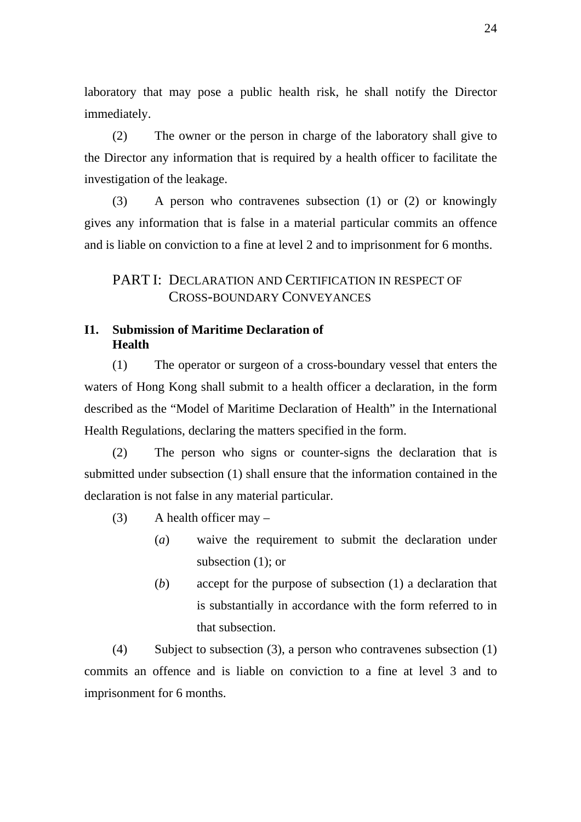laboratory that may pose a public health risk, he shall notify the Director immediately.

(2) The owner or the person in charge of the laboratory shall give to the Director any information that is required by a health officer to facilitate the investigation of the leakage.

(3) A person who contravenes subsection (1) or (2) or knowingly gives any information that is false in a material particular commits an offence and is liable on conviction to a fine at level 2 and to imprisonment for 6 months.

## PART I: DECLARATION AND CERTIFICATION IN RESPECT OF CROSS-BOUNDARY CONVEYANCES

## **I1. Submission of Maritime Declaration of Health**

(1) The operator or surgeon of a cross-boundary vessel that enters the waters of Hong Kong shall submit to a health officer a declaration, in the form described as the "Model of Maritime Declaration of Health" in the International Health Regulations, declaring the matters specified in the form.

(2) The person who signs or counter-signs the declaration that is submitted under subsection (1) shall ensure that the information contained in the declaration is not false in any material particular.

- $(3)$  A health officer may
	- (*a*) waive the requirement to submit the declaration under subsection (1); or
	- (*b*) accept for the purpose of subsection (1) a declaration that is substantially in accordance with the form referred to in that subsection.

(4) Subject to subsection (3), a person who contravenes subsection (1) commits an offence and is liable on conviction to a fine at level 3 and to imprisonment for 6 months.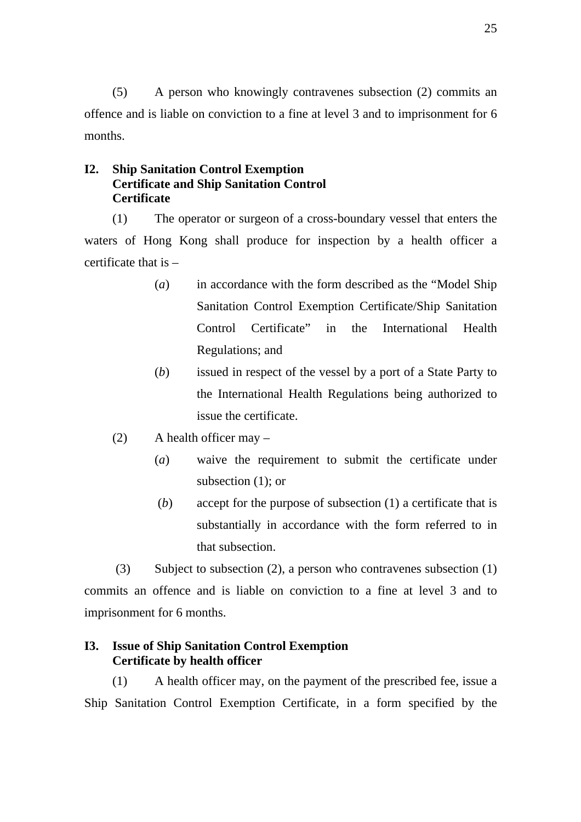(5) A person who knowingly contravenes subsection (2) commits an offence and is liable on conviction to a fine at level 3 and to imprisonment for 6 months.

## **I2. Ship Sanitation Control Exemption Certificate and Ship Sanitation Control Certificate**

(1) The operator or surgeon of a cross-boundary vessel that enters the waters of Hong Kong shall produce for inspection by a health officer a certificate that is –

- (*a*) in accordance with the form described as the "Model Ship Sanitation Control Exemption Certificate/Ship Sanitation Control Certificate" in the International Health Regulations; and
- (*b*) issued in respect of the vessel by a port of a State Party to the International Health Regulations being authorized to issue the certificate.
- (2) A health officer may
	- (*a*) waive the requirement to submit the certificate under subsection (1); or
	- (*b*) accept for the purpose of subsection (1) a certificate that is substantially in accordance with the form referred to in that subsection.

 (3) Subject to subsection (2), a person who contravenes subsection (1) commits an offence and is liable on conviction to a fine at level 3 and to imprisonment for 6 months.

## **I3. Issue of Ship Sanitation Control Exemption Certificate by health officer**

(1) A health officer may, on the payment of the prescribed fee, issue a Ship Sanitation Control Exemption Certificate, in a form specified by the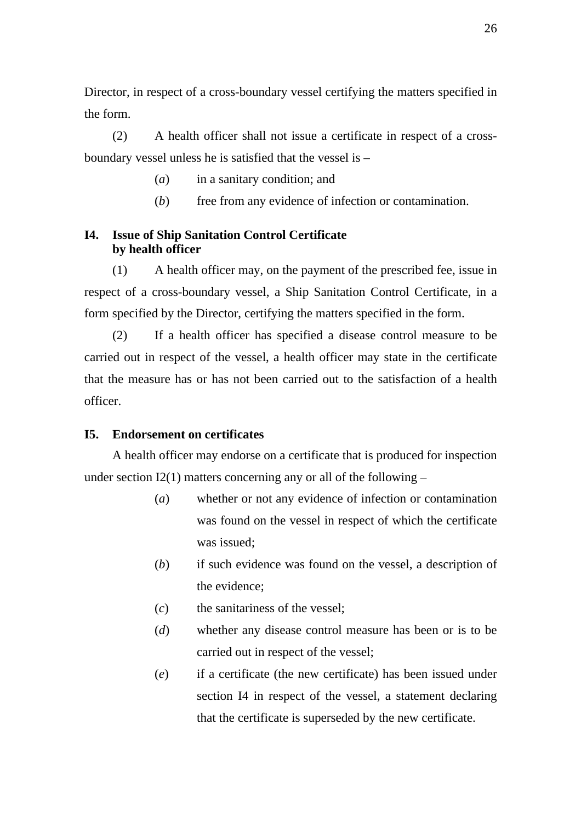Director, in respect of a cross-boundary vessel certifying the matters specified in the form.

(2) A health officer shall not issue a certificate in respect of a crossboundary vessel unless he is satisfied that the vessel is –

- (*a*) in a sanitary condition; and
- (*b*) free from any evidence of infection or contamination.

## **I4. Issue of Ship Sanitation Control Certificate by health officer**

(1) A health officer may, on the payment of the prescribed fee, issue in respect of a cross-boundary vessel, a Ship Sanitation Control Certificate, in a form specified by the Director, certifying the matters specified in the form.

(2) If a health officer has specified a disease control measure to be carried out in respect of the vessel, a health officer may state in the certificate that the measure has or has not been carried out to the satisfaction of a health officer.

#### **I5. Endorsement on certificates**

A health officer may endorse on a certificate that is produced for inspection under section I2(1) matters concerning any or all of the following  $-$ 

- (*a*) whether or not any evidence of infection or contamination was found on the vessel in respect of which the certificate was issued;
- (*b*) if such evidence was found on the vessel, a description of the evidence;
- (*c*) the sanitariness of the vessel;
- (*d*) whether any disease control measure has been or is to be carried out in respect of the vessel;
- (*e*) if a certificate (the new certificate) has been issued under section I4 in respect of the vessel, a statement declaring that the certificate is superseded by the new certificate.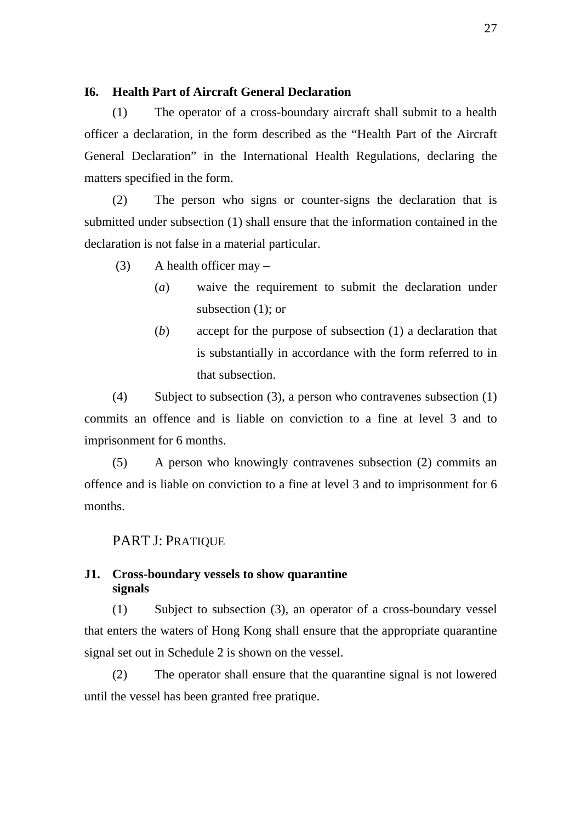### **I6. Health Part of Aircraft General Declaration**

(1) The operator of a cross-boundary aircraft shall submit to a health officer a declaration, in the form described as the "Health Part of the Aircraft General Declaration" in the International Health Regulations, declaring the matters specified in the form.

(2) The person who signs or counter-signs the declaration that is submitted under subsection (1) shall ensure that the information contained in the declaration is not false in a material particular.

 $(3)$  A health officer may –

- (*a*) waive the requirement to submit the declaration under subsection (1); or
- (*b*) accept for the purpose of subsection (1) a declaration that is substantially in accordance with the form referred to in that subsection.

(4) Subject to subsection (3), a person who contravenes subsection (1) commits an offence and is liable on conviction to a fine at level 3 and to imprisonment for 6 months.

(5) A person who knowingly contravenes subsection (2) commits an offence and is liable on conviction to a fine at level 3 and to imprisonment for 6 months.

#### PART J: PRATIQUE

#### **J1. Cross-boundary vessels to show quarantine signals**

(1) Subject to subsection (3), an operator of a cross-boundary vessel that enters the waters of Hong Kong shall ensure that the appropriate quarantine signal set out in Schedule 2 is shown on the vessel.

(2) The operator shall ensure that the quarantine signal is not lowered until the vessel has been granted free pratique.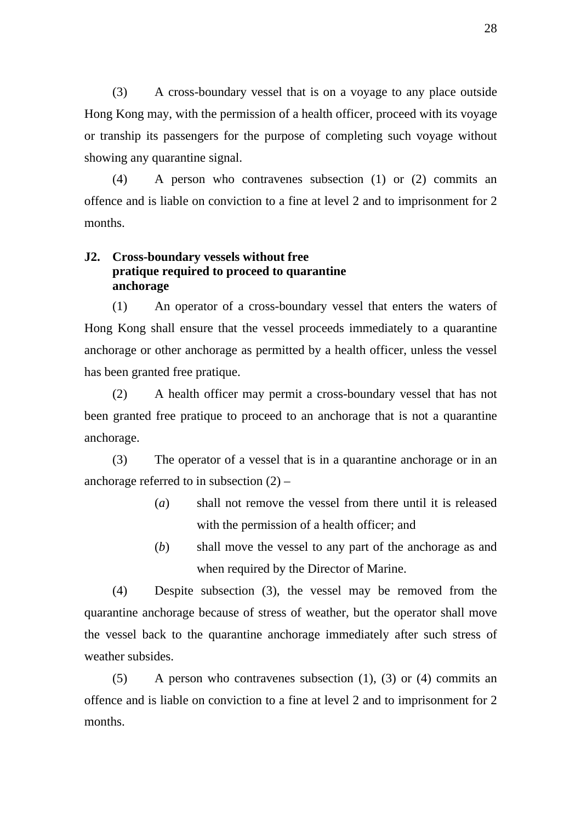(3) A cross-boundary vessel that is on a voyage to any place outside Hong Kong may, with the permission of a health officer, proceed with its voyage or tranship its passengers for the purpose of completing such voyage without showing any quarantine signal.

(4) A person who contravenes subsection (1) or (2) commits an offence and is liable on conviction to a fine at level 2 and to imprisonment for 2 months.

## **J2. Cross-boundary vessels without free pratique required to proceed to quarantine anchorage**

(1) An operator of a cross-boundary vessel that enters the waters of Hong Kong shall ensure that the vessel proceeds immediately to a quarantine anchorage or other anchorage as permitted by a health officer, unless the vessel has been granted free pratique.

(2) A health officer may permit a cross-boundary vessel that has not been granted free pratique to proceed to an anchorage that is not a quarantine anchorage.

(3) The operator of a vessel that is in a quarantine anchorage or in an anchorage referred to in subsection  $(2)$  –

- (*a*) shall not remove the vessel from there until it is released with the permission of a health officer; and
- (*b*) shall move the vessel to any part of the anchorage as and when required by the Director of Marine.

(4) Despite subsection (3), the vessel may be removed from the quarantine anchorage because of stress of weather, but the operator shall move the vessel back to the quarantine anchorage immediately after such stress of weather subsides.

(5) A person who contravenes subsection (1), (3) or (4) commits an offence and is liable on conviction to a fine at level 2 and to imprisonment for 2 months.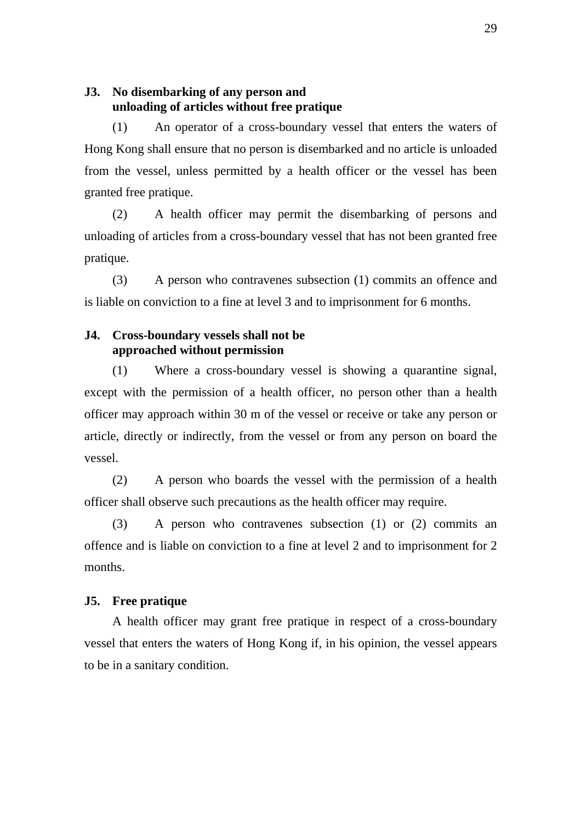#### **J3. No disembarking of any person and unloading of articles without free pratique**

(1) An operator of a cross-boundary vessel that enters the waters of Hong Kong shall ensure that no person is disembarked and no article is unloaded from the vessel, unless permitted by a health officer or the vessel has been granted free pratique.

(2) A health officer may permit the disembarking of persons and unloading of articles from a cross-boundary vessel that has not been granted free pratique.

(3) A person who contravenes subsection (1) commits an offence and is liable on conviction to a fine at level 3 and to imprisonment for 6 months.

#### **J4. Cross-boundary vessels shall not be approached without permission**

(1) Where a cross-boundary vessel is showing a quarantine signal, except with the permission of a health officer, no person other than a health officer may approach within 30 m of the vessel or receive or take any person or article, directly or indirectly, from the vessel or from any person on board the vessel.

(2) A person who boards the vessel with the permission of a health officer shall observe such precautions as the health officer may require.

(3) A person who contravenes subsection (1) or (2) commits an offence and is liable on conviction to a fine at level 2 and to imprisonment for 2 months.

#### **J5. Free pratique**

A health officer may grant free pratique in respect of a cross-boundary vessel that enters the waters of Hong Kong if, in his opinion, the vessel appears to be in a sanitary condition.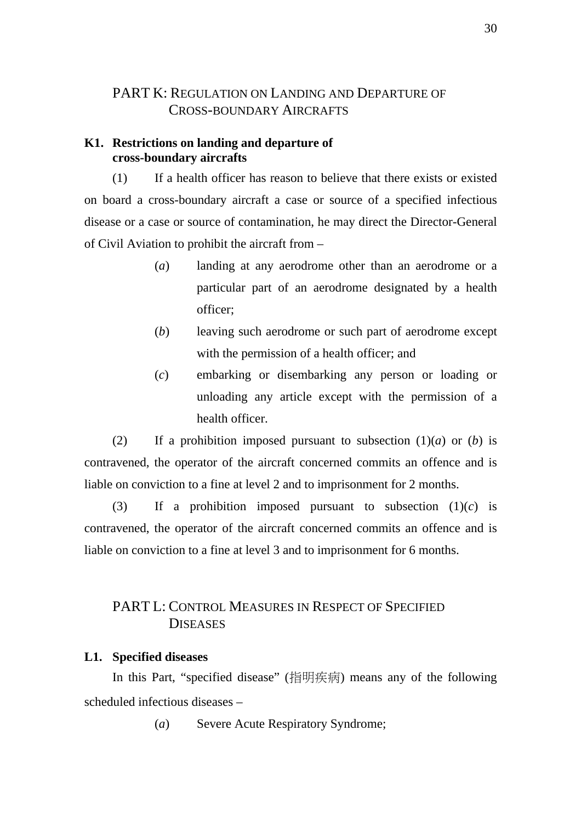## PART K: REGULATION ON LANDING AND DEPARTURE OF CROSS-BOUNDARY AIRCRAFTS

#### **K1. Restrictions on landing and departure of cross-boundary aircrafts**

(1) If a health officer has reason to believe that there exists or existed on board a cross-boundary aircraft a case or source of a specified infectious disease or a case or source of contamination, he may direct the Director-General of Civil Aviation to prohibit the aircraft from –

- (*a*) landing at any aerodrome other than an aerodrome or a particular part of an aerodrome designated by a health officer;
- (*b*) leaving such aerodrome or such part of aerodrome except with the permission of a health officer; and
- (*c*) embarking or disembarking any person or loading or unloading any article except with the permission of a health officer.

(2) If a prohibition imposed pursuant to subsection  $(1)(a)$  or  $(b)$  is contravened, the operator of the aircraft concerned commits an offence and is liable on conviction to a fine at level 2 and to imprisonment for 2 months.

(3) If a prohibition imposed pursuant to subsection  $(1)(c)$  is contravened, the operator of the aircraft concerned commits an offence and is liable on conviction to a fine at level 3 and to imprisonment for 6 months.

# PART L: CONTROL MEASURES IN RESPECT OF SPECIFIED **DISEASES**

#### **L1. Specified diseases**

In this Part, "specified disease" (指明疾病) means any of the following scheduled infectious diseases –

(*a*) Severe Acute Respiratory Syndrome;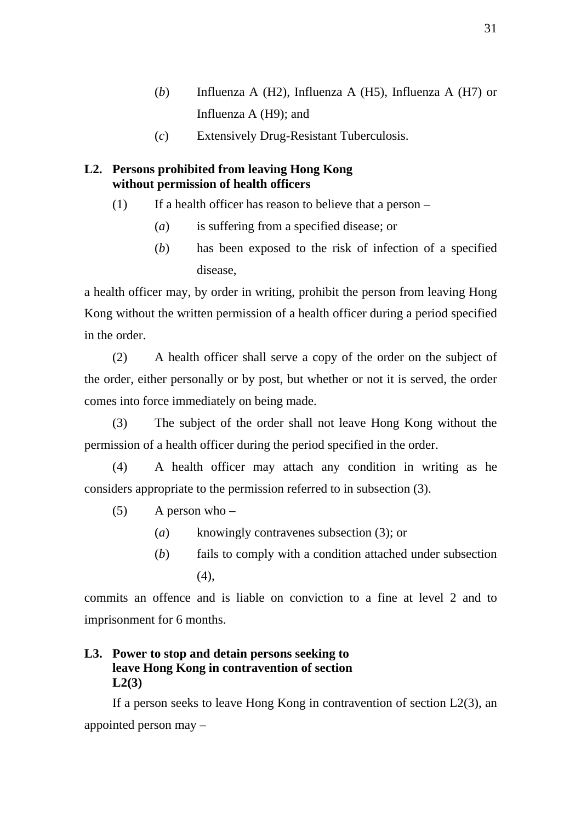- (*b*) Influenza A (H2), Influenza A (H5), Influenza A (H7) or Influenza A (H9); and
- (*c*) Extensively Drug-Resistant Tuberculosis.

## **L2. Persons prohibited from leaving Hong Kong without permission of health officers**

- (1) If a health officer has reason to believe that a person  $-$ 
	- (*a*) is suffering from a specified disease; or
	- (*b*) has been exposed to the risk of infection of a specified disease,

a health officer may, by order in writing, prohibit the person from leaving Hong Kong without the written permission of a health officer during a period specified in the order.

(2) A health officer shall serve a copy of the order on the subject of the order, either personally or by post, but whether or not it is served, the order comes into force immediately on being made.

(3) The subject of the order shall not leave Hong Kong without the permission of a health officer during the period specified in the order.

(4) A health officer may attach any condition in writing as he considers appropriate to the permission referred to in subsection (3).

- $(5)$  A person who
	- (*a*) knowingly contravenes subsection (3); or
	- (*b*) fails to comply with a condition attached under subsection (4),

commits an offence and is liable on conviction to a fine at level 2 and to imprisonment for 6 months.

## **L3. Power to stop and detain persons seeking to leave Hong Kong in contravention of section L2(3)**

If a person seeks to leave Hong Kong in contravention of section  $L2(3)$ , an appointed person may –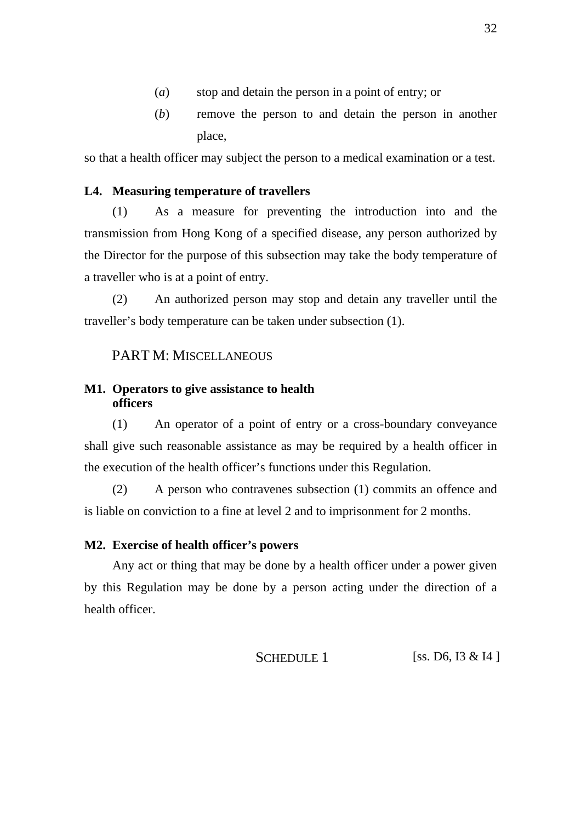- (*a*) stop and detain the person in a point of entry; or
- (*b*) remove the person to and detain the person in another place,

so that a health officer may subject the person to a medical examination or a test.

## **L4. Measuring temperature of travellers**

(1) As a measure for preventing the introduction into and the transmission from Hong Kong of a specified disease, any person authorized by the Director for the purpose of this subsection may take the body temperature of a traveller who is at a point of entry.

(2) An authorized person may stop and detain any traveller until the traveller's body temperature can be taken under subsection (1).

## PART M: MISCELLANEOUS

## **M1. Operators to give assistance to health officers**

(1) An operator of a point of entry or a cross-boundary conveyance shall give such reasonable assistance as may be required by a health officer in the execution of the health officer's functions under this Regulation.

(2) A person who contravenes subsection (1) commits an offence and is liable on conviction to a fine at level 2 and to imprisonment for 2 months.

#### **M2. Exercise of health officer's powers**

Any act or thing that may be done by a health officer under a power given by this Regulation may be done by a person acting under the direction of a health officer.

SCHEDULE 1 [ss. D6, I3 & I4 ]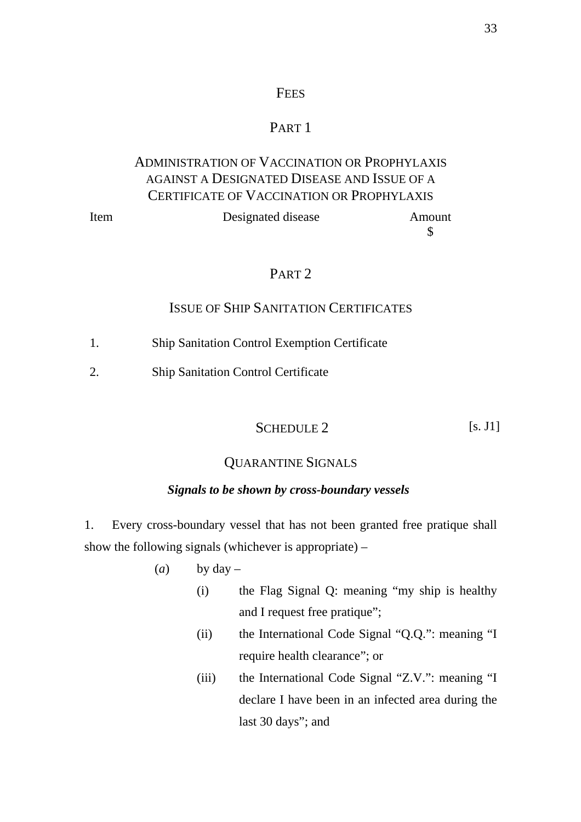## **FEES**

# PART<sub>1</sub>

# ADMINISTRATION OF VACCINATION OR PROPHYLAXIS AGAINST A DESIGNATED DISEASE AND ISSUE OF A CERTIFICATE OF VACCINATION OR PROPHYLAXIS

| Item | Designated disease | Amount |
|------|--------------------|--------|
|      |                    |        |

# PART 2

## ISSUE OF SHIP SANITATION CERTIFICATES

- 1. Ship Sanitation Control Exemption Certificate
- 2. Ship Sanitation Control Certificate

# SCHEDULE 2 [s. J1]

## QUARANTINE SIGNALS

#### *Signals to be shown by cross-boundary vessels*

1. Every cross-boundary vessel that has not been granted free pratique shall show the following signals (whichever is appropriate) –

- (*a*) by  $day -$ 
	- (i) the Flag Signal Q: meaning "my ship is healthy and I request free pratique";
	- (ii) the International Code Signal "Q.Q.": meaning "I require health clearance"; or
	- (iii) the International Code Signal "Z.V.": meaning "I declare I have been in an infected area during the last 30 days"; and